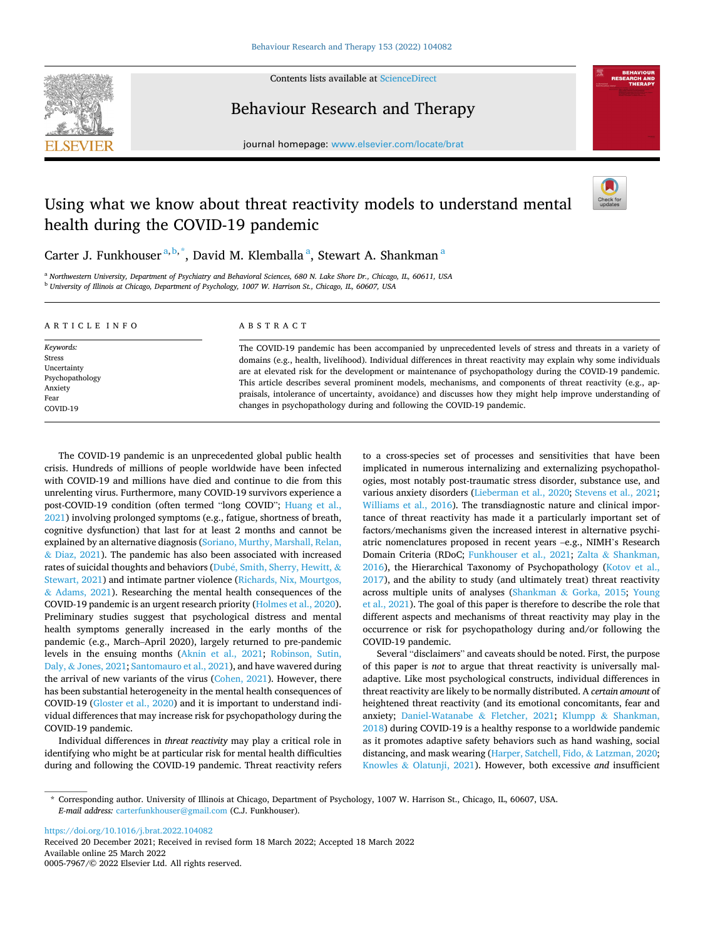

Contents lists available at [ScienceDirect](www.sciencedirect.com/science/journal/00057967)

Behaviour Research and Therapy



journal homepage: [www.elsevier.com/locate/brat](https://www.elsevier.com/locate/brat) 

# Using what we know about threat reactivity models to understand mental health during the COVID-19 pandemic



Carter J. Funkhouser<sup>a, b,\*</sup>, David M. Klemballa<sup>a</sup>, Stewart A. Shankman<sup>a</sup>

<sup>a</sup> *Northwestern University, Department of Psychiatry and Behavioral Sciences, 680 N. Lake Shore Dr., Chicago, IL, 60611, USA* <sup>b</sup> *University of Illinois at Chicago, Department of Psychology, 1007 W. Harrison St., Chicago, IL, 60607, USA* 

| ARTICLE INFO                                                                         | ABSTRACT                                                                                                                                                                                                                                                                                                                                                                                                                                                                                                                                                                                                                                         |
|--------------------------------------------------------------------------------------|--------------------------------------------------------------------------------------------------------------------------------------------------------------------------------------------------------------------------------------------------------------------------------------------------------------------------------------------------------------------------------------------------------------------------------------------------------------------------------------------------------------------------------------------------------------------------------------------------------------------------------------------------|
| Keywords:<br>Stress<br>Uncertainty<br>Psychopathology<br>Anxiety<br>Fear<br>COVID-19 | The COVID-19 pandemic has been accompanied by unprecedented levels of stress and threats in a variety of<br>domains (e.g., health, livelihood). Individual differences in threat reactivity may explain why some individuals<br>are at elevated risk for the development or maintenance of psychopathology during the COVID-19 pandemic.<br>This article describes several prominent models, mechanisms, and components of threat reactivity (e.g., ap-<br>praisals, intolerance of uncertainty, avoidance) and discusses how they might help improve understanding of<br>changes in psychopathology during and following the COVID-19 pandemic. |

The COVID-19 pandemic is an unprecedented global public health crisis. Hundreds of millions of people worldwide have been infected with COVID-19 and millions have died and continue to die from this unrelenting virus. Furthermore, many COVID-19 survivors experience a post-COVID-19 condition (often termed "long COVID"; [Huang et al.,](#page-6-0)  [2021\)](#page-6-0) involving prolonged symptoms (e.g., fatigue, shortness of breath, cognitive dysfunction) that last for at least 2 months and cannot be explained by an alternative diagnosis [\(Soriano, Murthy, Marshall, Relan,](#page-7-0)  & [Diaz, 2021](#page-7-0)). The pandemic has also been associated with increased rates of suicidal thoughts and behaviors (Dubé, Smith, Sherry, Hewitt, & [Stewart, 2021\)](#page-5-0) and intimate partner violence [\(Richards, Nix, Mourtgos,](#page-7-0)   $& Adams, 2021$  $& Adams, 2021$ . Researching the mental health consequences of the COVID-19 pandemic is an urgent research priority [\(Holmes et al., 2020](#page-6-0)). Preliminary studies suggest that psychological distress and mental health symptoms generally increased in the early months of the pandemic (e.g., March–April 2020), largely returned to pre-pandemic levels in the ensuing months [\(Aknin et al., 2021](#page-5-0); [Robinson, Sutin,](#page-7-0)  Daly, & [Jones, 2021](#page-7-0); [Santomauro et al., 2021\)](#page-7-0), and have wavered during the arrival of new variants of the virus [\(Cohen, 2021](#page-5-0)). However, there has been substantial heterogeneity in the mental health consequences of COVID-19 ([Gloster et al., 2020\)](#page-6-0) and it is important to understand individual differences that may increase risk for psychopathology during the COVID-19 pandemic.

Individual differences in *threat reactivity* may play a critical role in identifying who might be at particular risk for mental health difficulties during and following the COVID-19 pandemic. Threat reactivity refers to a cross-species set of processes and sensitivities that have been implicated in numerous internalizing and externalizing psychopathologies, most notably post-traumatic stress disorder, substance use, and various anxiety disorders ([Lieberman et al., 2020](#page-6-0); [Stevens et al., 2021](#page-7-0); [Williams et al., 2016](#page-8-0)). The transdiagnostic nature and clinical importance of threat reactivity has made it a particularly important set of factors/mechanisms given the increased interest in alternative psychiatric nomenclatures proposed in recent years –e.g., NIMH's Research Domain Criteria (RDoC; [Funkhouser et al., 2021;](#page-6-0) Zalta & [Shankman,](#page-8-0)  [2016\)](#page-8-0), the Hierarchical Taxonomy of Psychopathology [\(Kotov et al.,](#page-6-0)  [2017\)](#page-6-0), and the ability to study (and ultimately treat) threat reactivity across multiple units of analyses (Shankman & [Gorka, 2015](#page-7-0); [Young](#page-8-0)  [et al., 2021](#page-8-0)). The goal of this paper is therefore to describe the role that different aspects and mechanisms of threat reactivity may play in the occurrence or risk for psychopathology during and/or following the COVID-19 pandemic.

Several "disclaimers" and caveats should be noted. First, the purpose of this paper is *not* to argue that threat reactivity is universally maladaptive. Like most psychological constructs, individual differences in threat reactivity are likely to be normally distributed. A *certain amount* of heightened threat reactivity (and its emotional concomitants, fear and anxiety; [Daniel-Watanabe](#page-5-0) & Fletcher, 2021; Klumpp & [Shankman,](#page-6-0)  [2018\)](#page-6-0) during COVID-19 is a healthy response to a worldwide pandemic as it promotes adaptive safety behaviors such as hand washing, social distancing, and mask wearing [\(Harper, Satchell, Fido,](#page-6-0) & Latzman, 2020; Knowles & [Olatunji, 2021](#page-6-0)). However, both excessive *and* insufficient

<https://doi.org/10.1016/j.brat.2022.104082>

Available online 25 March 2022 0005-7967/© 2022 Elsevier Ltd. All rights reserved. Received 20 December 2021; Received in revised form 18 March 2022; Accepted 18 March 2022

<sup>\*</sup> Corresponding author. University of Illinois at Chicago, Department of Psychology, 1007 W. Harrison St., Chicago, IL, 60607, USA. *E-mail address:* [carterfunkhouser@gmail.com](mailto:carterfunkhouser@gmail.com) (C.J. Funkhouser).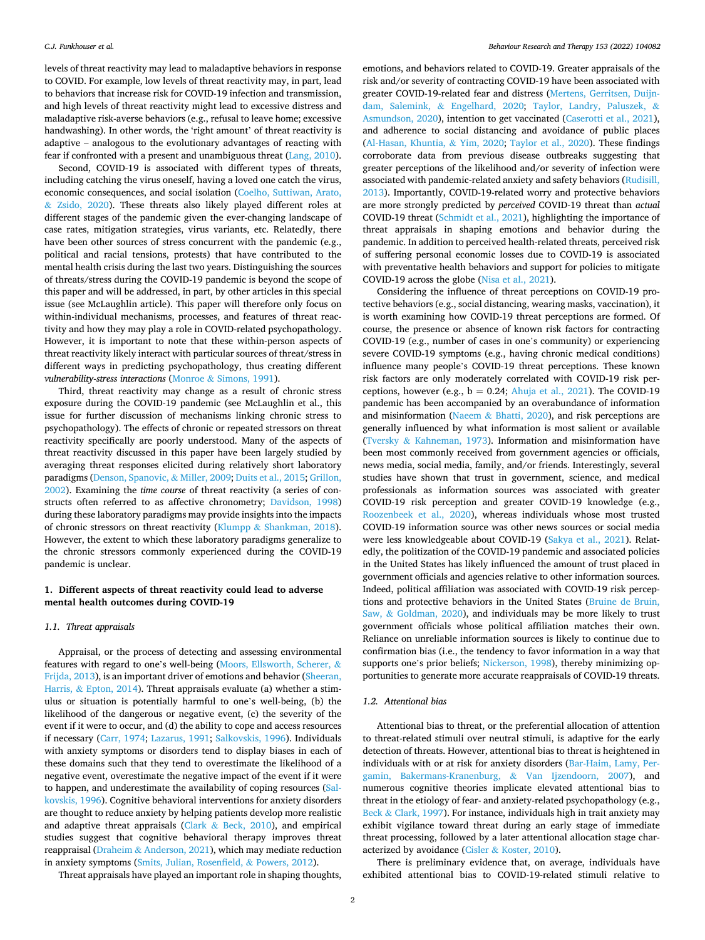levels of threat reactivity may lead to maladaptive behaviors in response to COVID. For example, low levels of threat reactivity may, in part, lead to behaviors that increase risk for COVID-19 infection and transmission, and high levels of threat reactivity might lead to excessive distress and maladaptive risk-averse behaviors (e.g., refusal to leave home; excessive handwashing). In other words, the 'right amount' of threat reactivity is adaptive – analogous to the evolutionary advantages of reacting with fear if confronted with a present and unambiguous threat [\(Lang, 2010](#page-6-0)).

Second, COVID-19 is associated with different types of threats, including catching the virus oneself, having a loved one catch the virus, economic consequences, and social isolation [\(Coelho, Suttiwan, Arato,](#page-5-0)  & [Zsido, 2020\)](#page-5-0). These threats also likely played different roles at different stages of the pandemic given the ever-changing landscape of case rates, mitigation strategies, virus variants, etc. Relatedly, there have been other sources of stress concurrent with the pandemic (e.g., political and racial tensions, protests) that have contributed to the mental health crisis during the last two years. Distinguishing the sources of threats/stress during the COVID-19 pandemic is beyond the scope of this paper and will be addressed, in part, by other articles in this special issue (see McLaughlin article). This paper will therefore only focus on within-individual mechanisms, processes, and features of threat reactivity and how they may play a role in COVID-related psychopathology. However, it is important to note that these within-person aspects of threat reactivity likely interact with particular sources of threat/stress in different ways in predicting psychopathology, thus creating different *vulnerability-stress interactions* (Monroe & [Simons, 1991\)](#page-6-0).

Third, threat reactivity may change as a result of chronic stress exposure during the COVID-19 pandemic (see McLaughlin et al., this issue for further discussion of mechanisms linking chronic stress to psychopathology). The effects of chronic or repeated stressors on threat reactivity specifically are poorly understood. Many of the aspects of threat reactivity discussed in this paper have been largely studied by averaging threat responses elicited during relatively short laboratory paradigms ([Denson, Spanovic,](#page-5-0) & Miller, 2009; [Duits et al., 2015;](#page-5-0) [Grillon,](#page-6-0)  [2002\)](#page-6-0). Examining the *time course* of threat reactivity (a series of constructs often referred to as affective chronometry; [Davidson, 1998\)](#page-5-0) during these laboratory paradigms may provide insights into the impacts of chronic stressors on threat reactivity (Klumpp & [Shankman, 2018](#page-6-0)). However, the extent to which these laboratory paradigms generalize to the chronic stressors commonly experienced during the COVID-19 pandemic is unclear.

# **1. Different aspects of threat reactivity could lead to adverse mental health outcomes during COVID-19**

### *1.1. Threat appraisals*

Appraisal, or the process of detecting and assessing environmental features with regard to one's well-being ([Moors, Ellsworth, Scherer,](#page-6-0) & [Frijda, 2013](#page-6-0)), is an important driver of emotions and behavior [\(Sheeran,](#page-7-0)  Harris, & [Epton, 2014](#page-7-0)). Threat appraisals evaluate (a) whether a stimulus or situation is potentially harmful to one's well-being, (b) the likelihood of the dangerous or negative event, (c) the severity of the event if it were to occur, and (d) the ability to cope and access resources if necessary ([Carr, 1974;](#page-5-0) [Lazarus, 1991](#page-6-0); [Salkovskis, 1996](#page-7-0)). Individuals with anxiety symptoms or disorders tend to display biases in each of these domains such that they tend to overestimate the likelihood of a negative event, overestimate the negative impact of the event if it were to happen, and underestimate the availability of coping resources ([Sal](#page-7-0)[kovskis, 1996\)](#page-7-0). Cognitive behavioral interventions for anxiety disorders are thought to reduce anxiety by helping patients develop more realistic and adaptive threat appraisals (Clark  $& Beck, 2010$  $& Beck, 2010$ ), and empirical studies suggest that cognitive behavioral therapy improves threat reappraisal (Draheim & [Anderson, 2021](#page-5-0)), which may mediate reduction in anxiety symptoms [\(Smits, Julian, Rosenfield,](#page-7-0) & Powers, 2012).

Threat appraisals have played an important role in shaping thoughts,

emotions, and behaviors related to COVID-19. Greater appraisals of the risk and/or severity of contracting COVID-19 have been associated with greater COVID-19-related fear and distress ([Mertens, Gerritsen, Duijn](#page-6-0)dam, Salemink, & [Engelhard, 2020;](#page-6-0) [Taylor, Landry, Paluszek,](#page-8-0) & [Asmundson, 2020](#page-8-0)), intention to get vaccinated [\(Caserotti et al., 2021](#page-5-0)), and adherence to social distancing and avoidance of public places ([Al-Hasan, Khuntia,](#page-5-0) & Yim, 2020; [Taylor et al., 2020](#page-8-0)). These findings corroborate data from previous disease outbreaks suggesting that greater perceptions of the likelihood and/or severity of infection were associated with pandemic-related anxiety and safety behaviors [\(Rudisill,](#page-7-0)  [2013\)](#page-7-0). Importantly, COVID-19-related worry and protective behaviors are more strongly predicted by *perceived* COVID-19 threat than *actual*  COVID-19 threat [\(Schmidt et al., 2021](#page-7-0)), highlighting the importance of threat appraisals in shaping emotions and behavior during the pandemic. In addition to perceived health-related threats, perceived risk of suffering personal economic losses due to COVID-19 is associated with preventative health behaviors and support for policies to mitigate COVID-19 across the globe ([Nisa et al., 2021\)](#page-7-0).

Considering the influence of threat perceptions on COVID-19 protective behaviors (e.g., social distancing, wearing masks, vaccination), it is worth examining how COVID-19 threat perceptions are formed. Of course, the presence or absence of known risk factors for contracting COVID-19 (e.g., number of cases in one's community) or experiencing severe COVID-19 symptoms (e.g., having chronic medical conditions) influence many people's COVID-19 threat perceptions. These known risk factors are only moderately correlated with COVID-19 risk perceptions, however (e.g.,  $b = 0.24$ ; [Ahuja et al., 2021](#page-5-0)). The COVID-19 pandemic has been accompanied by an overabundance of information and misinformation (Naeem & [Bhatti, 2020](#page-7-0)), and risk perceptions are generally influenced by what information is most salient or available (Tversky & [Kahneman, 1973\)](#page-8-0). Information and misinformation have been most commonly received from government agencies or officials, news media, social media, family, and/or friends. Interestingly, several studies have shown that trust in government, science, and medical professionals as information sources was associated with greater COVID-19 risk perception and greater COVID-19 knowledge (e.g., [Roozenbeek et al., 2020](#page-7-0)), whereas individuals whose most trusted COVID-19 information source was other news sources or social media were less knowledgeable about COVID-19 [\(Sakya et al., 2021\)](#page-7-0). Relatedly, the politization of the COVID-19 pandemic and associated policies in the United States has likely influenced the amount of trust placed in government officials and agencies relative to other information sources. Indeed, political affiliation was associated with COVID-19 risk perceptions and protective behaviors in the United States (Bruine de Bruin, Saw, & [Goldman, 2020](#page-5-0)), and individuals may be more likely to trust government officials whose political affiliation matches their own. Reliance on unreliable information sources is likely to continue due to confirmation bias (i.e., the tendency to favor information in a way that supports one's prior beliefs; [Nickerson, 1998](#page-7-0)), thereby minimizing opportunities to generate more accurate reappraisals of COVID-19 threats.

### *1.2. Attentional bias*

Attentional bias to threat, or the preferential allocation of attention to threat-related stimuli over neutral stimuli, is adaptive for the early detection of threats. However, attentional bias to threat is heightened in individuals with or at risk for anxiety disorders ([Bar-Haim, Lamy, Per](#page-5-0)[gamin, Bakermans-Kranenburg,](#page-5-0) & Van Ijzendoorn, 2007), and numerous cognitive theories implicate elevated attentional bias to threat in the etiology of fear- and anxiety-related psychopathology (e.g., Beck & [Clark, 1997\)](#page-5-0). For instance, individuals high in trait anxiety may exhibit vigilance toward threat during an early stage of immediate threat processing, followed by a later attentional allocation stage characterized by avoidance (Cisler & [Koster, 2010\)](#page-5-0).

There is preliminary evidence that, on average, individuals have exhibited attentional bias to COVID-19-related stimuli relative to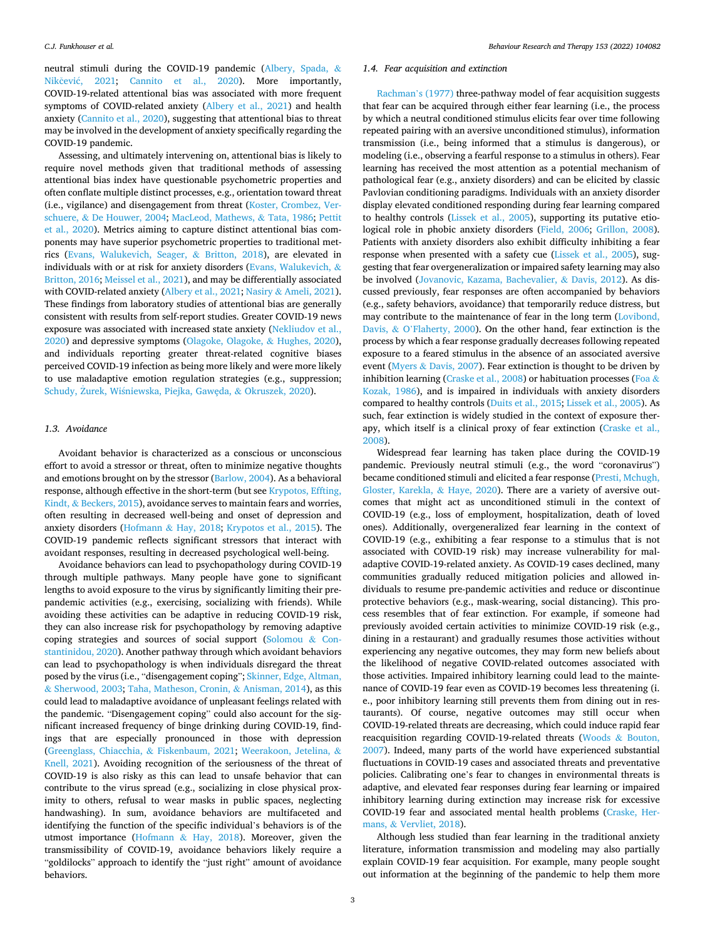neutral stimuli during the COVID-19 pandemic ([Albery, Spada,](#page-5-0) & Nikčević, 2021; [Cannito et al., 2020\)](#page-5-0). More importantly, COVID-19-related attentional bias was associated with more frequent symptoms of COVID-related anxiety [\(Albery et al., 2021](#page-5-0)) and health anxiety ([Cannito et al., 2020](#page-5-0)), suggesting that attentional bias to threat may be involved in the development of anxiety specifically regarding the COVID-19 pandemic.

Assessing, and ultimately intervening on, attentional bias is likely to require novel methods given that traditional methods of assessing attentional bias index have questionable psychometric properties and often conflate multiple distinct processes, e.g., orientation toward threat (i.e., vigilance) and disengagement from threat ([Koster, Crombez, Ver](#page-6-0)schuere, & [De Houwer, 2004; MacLeod, Mathews,](#page-6-0) & Tata, 1986; [Pettit](#page-7-0)  [et al., 2020](#page-7-0)). Metrics aiming to capture distinct attentional bias components may have superior psychometric properties to traditional metrics [\(Evans, Walukevich, Seager,](#page-5-0) & Britton, 2018), are elevated in individuals with or at risk for anxiety disorders ([Evans, Walukevich,](#page-5-0)  $\&$ [Britton, 2016](#page-5-0); [Meissel et al., 2021\)](#page-6-0), and may be differentially associated with COVID-related anxiety [\(Albery et al., 2021;](#page-5-0) Nasiry & [Ameli, 2021](#page-7-0)). These findings from laboratory studies of attentional bias are generally consistent with results from self-report studies. Greater COVID-19 news exposure was associated with increased state anxiety [\(Nekliudov et al.,](#page-7-0)  [2020\)](#page-7-0) and depressive symptoms ([Olagoke, Olagoke,](#page-7-0) & Hughes, 2020), and individuals reporting greater threat-related cognitive biases perceived COVID-19 infection as being more likely and were more likely to use maladaptive emotion regulation strategies (e.g., suppression; Schudy, Żurek, Wiśniewska, Piejka, Gawęda, & Okruszek, 2020).

## *1.3. Avoidance*

Avoidant behavior is characterized as a conscious or unconscious effort to avoid a stressor or threat, often to minimize negative thoughts and emotions brought on by the stressor [\(Barlow, 2004](#page-5-0)). As a behavioral response, although effective in the short-term (but see [Krypotos, Effting,](#page-6-0)  Kindt, & [Beckers, 2015](#page-6-0)), avoidance serves to maintain fears and worries, often resulting in decreased well-being and onset of depression and anxiety disorders (Hofmann & [Hay, 2018;](#page-6-0) [Krypotos et al., 2015](#page-6-0)). The COVID-19 pandemic reflects significant stressors that interact with avoidant responses, resulting in decreased psychological well-being.

Avoidance behaviors can lead to psychopathology during COVID-19 through multiple pathways. Many people have gone to significant lengths to avoid exposure to the virus by significantly limiting their prepandemic activities (e.g., exercising, socializing with friends). While avoiding these activities can be adaptive in reducing COVID-19 risk, they can also increase risk for psychopathology by removing adaptive coping strategies and sources of social support [\(Solomou](#page-7-0) & Con[stantinidou, 2020](#page-7-0)). Another pathway through which avoidant behaviors can lead to psychopathology is when individuals disregard the threat posed by the virus (i.e., "disengagement coping"; [Skinner, Edge, Altman,](#page-7-0)  & [Sherwood, 2003; Taha, Matheson, Cronin,](#page-7-0) & Anisman, 2014), as this could lead to maladaptive avoidance of unpleasant feelings related with the pandemic. "Disengagement coping" could also account for the significant increased frequency of binge drinking during COVID-19, findings that are especially pronounced in those with depression ([Greenglass, Chiacchia,](#page-6-0) & Fiskenbaum, 2021; [Weerakoon, Jetelina,](#page-8-0) & [Knell, 2021](#page-8-0)). Avoiding recognition of the seriousness of the threat of COVID-19 is also risky as this can lead to unsafe behavior that can contribute to the virus spread (e.g., socializing in close physical proximity to others, refusal to wear masks in public spaces, neglecting handwashing). In sum, avoidance behaviors are multifaceted and identifying the function of the specific individual's behaviors is of the utmost importance (Hofmann  $&$  [Hay, 2018](#page-6-0)). Moreover, given the transmissibility of COVID-19, avoidance behaviors likely require a "goldilocks" approach to identify the "just right" amount of avoidance behaviors.

### *1.4. Fear acquisition and extinction*

[Rachman](#page-7-0)'s (1977) three-pathway model of fear acquisition suggests that fear can be acquired through either fear learning (i.e., the process by which a neutral conditioned stimulus elicits fear over time following repeated pairing with an aversive unconditioned stimulus), information transmission (i.e., being informed that a stimulus is dangerous), or modeling (i.e., observing a fearful response to a stimulus in others). Fear learning has received the most attention as a potential mechanism of pathological fear (e.g., anxiety disorders) and can be elicited by classic Pavlovian conditioning paradigms. Individuals with an anxiety disorder display elevated conditioned responding during fear learning compared to healthy controls [\(Lissek et al., 2005\)](#page-6-0), supporting its putative etiological role in phobic anxiety disorders [\(Field, 2006](#page-5-0); [Grillon, 2008](#page-6-0)). Patients with anxiety disorders also exhibit difficulty inhibiting a fear response when presented with a safety cue ([Lissek et al., 2005\)](#page-6-0), suggesting that fear overgeneralization or impaired safety learning may also be involved [\(Jovanovic, Kazama, Bachevalier,](#page-6-0) & Davis, 2012). As discussed previously, fear responses are often accompanied by behaviors (e.g., safety behaviors, avoidance) that temporarily reduce distress, but may contribute to the maintenance of fear in the long term [\(Lovibond,](#page-6-0)  Davis, & O'[Flaherty, 2000\)](#page-6-0). On the other hand, fear extinction is the process by which a fear response gradually decreases following repeated exposure to a feared stimulus in the absence of an associated aversive event (Myers & [Davis, 2007\)](#page-7-0). Fear extinction is thought to be driven by inhibition learning [\(Craske et al., 2008](#page-5-0)) or habituation processes ([Foa](#page-5-0) & [Kozak, 1986\)](#page-5-0), and is impaired in individuals with anxiety disorders compared to healthy controls ([Duits et al., 2015;](#page-5-0) [Lissek et al., 2005\)](#page-6-0). As such, fear extinction is widely studied in the context of exposure therapy, which itself is a clinical proxy of fear extinction ([Craske et al.,](#page-5-0)  [2008\)](#page-5-0).

Widespread fear learning has taken place during the COVID-19 pandemic. Previously neutral stimuli (e.g., the word "coronavirus") became conditioned stimuli and elicited a fear response [\(Presti, Mchugh,](#page-7-0)  [Gloster, Karekla,](#page-7-0) & Haye, 2020). There are a variety of aversive outcomes that might act as unconditioned stimuli in the context of COVID-19 (e.g., loss of employment, hospitalization, death of loved ones). Additionally, overgeneralized fear learning in the context of COVID-19 (e.g., exhibiting a fear response to a stimulus that is not associated with COVID-19 risk) may increase vulnerability for maladaptive COVID-19-related anxiety. As COVID-19 cases declined, many communities gradually reduced mitigation policies and allowed individuals to resume pre-pandemic activities and reduce or discontinue protective behaviors (e.g., mask-wearing, social distancing). This process resembles that of fear extinction. For example, if someone had previously avoided certain activities to minimize COVID-19 risk (e.g., dining in a restaurant) and gradually resumes those activities without experiencing any negative outcomes, they may form new beliefs about the likelihood of negative COVID-related outcomes associated with those activities. Impaired inhibitory learning could lead to the maintenance of COVID-19 fear even as COVID-19 becomes less threatening (i. e., poor inhibitory learning still prevents them from dining out in restaurants). Of course, negative outcomes may still occur when COVID-19-related threats are decreasing, which could induce rapid fear reacquisition regarding COVID-19-related threats (Woods & [Bouton,](#page-8-0)  [2007\)](#page-8-0). Indeed, many parts of the world have experienced substantial fluctuations in COVID-19 cases and associated threats and preventative policies. Calibrating one's fear to changes in environmental threats is adaptive, and elevated fear responses during fear learning or impaired inhibitory learning during extinction may increase risk for excessive COVID-19 fear and associated mental health problems ([Craske, Her](#page-5-0)mans, & [Vervliet, 2018\)](#page-5-0).

Although less studied than fear learning in the traditional anxiety literature, information transmission and modeling may also partially explain COVID-19 fear acquisition. For example, many people sought out information at the beginning of the pandemic to help them more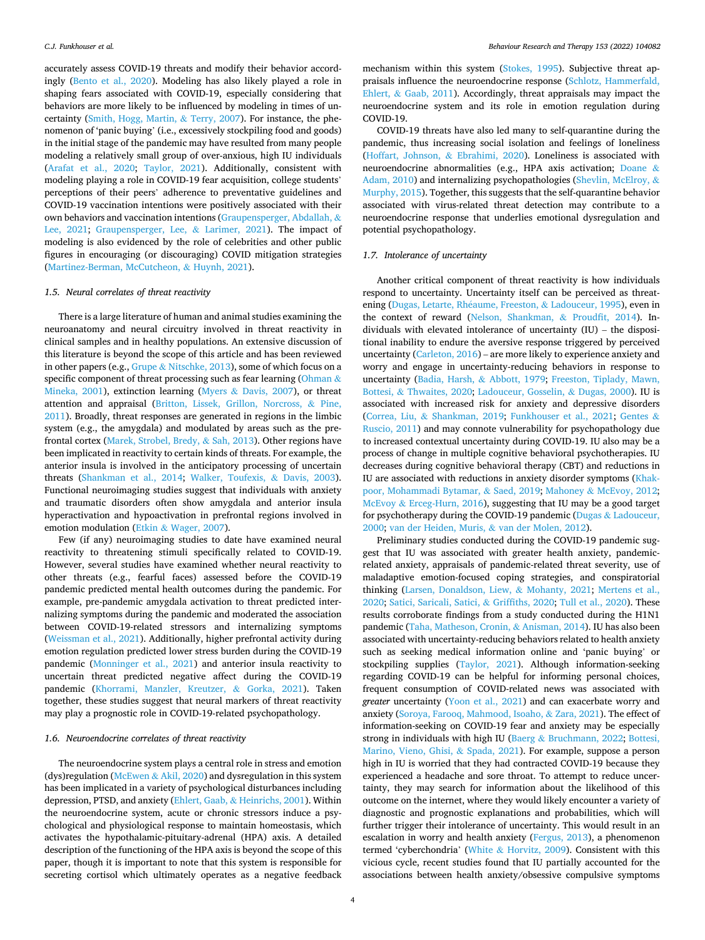accurately assess COVID-19 threats and modify their behavior accordingly ([Bento et al., 2020](#page-5-0)). Modeling has also likely played a role in shaping fears associated with COVID-19, especially considering that behaviors are more likely to be influenced by modeling in times of uncertainty ([Smith, Hogg, Martin,](#page-7-0) & Terry, 2007). For instance, the phenomenon of 'panic buying' (i.e., excessively stockpiling food and goods) in the initial stage of the pandemic may have resulted from many people modeling a relatively small group of over-anxious, high IU individuals ([Arafat et al., 2020](#page-5-0); [Taylor, 2021](#page-7-0)). Additionally, consistent with modeling playing a role in COVID-19 fear acquisition, college students' perceptions of their peers' adherence to preventative guidelines and COVID-19 vaccination intentions were positively associated with their own behaviors and vaccination intentions [\(Graupensperger, Abdallah,](#page-6-0) & [Lee, 2021](#page-6-0); [Graupensperger, Lee,](#page-6-0) & Larimer, 2021). The impact of modeling is also evidenced by the role of celebrities and other public figures in encouraging (or discouraging) COVID mitigation strategies ([Martinez-Berman, McCutcheon,](#page-6-0) & Huynh, 2021).

### *1.5. Neural correlates of threat reactivity*

There is a large literature of human and animal studies examining the neuroanatomy and neural circuitry involved in threat reactivity in clinical samples and in healthy populations. An extensive discussion of this literature is beyond the scope of this article and has been reviewed in other papers (e.g., Grupe & [Nitschke, 2013\)](#page-6-0), some of which focus on a specific component of threat processing such as fear learning ([Ohman](#page-7-0)  $\&$ [Mineka, 2001](#page-7-0)), extinction learning (Myers & [Davis, 2007](#page-7-0)), or threat attention and appraisal ([Britton, Lissek, Grillon, Norcross,](#page-5-0) & Pine, [2011\)](#page-5-0). Broadly, threat responses are generated in regions in the limbic system (e.g., the amygdala) and modulated by areas such as the prefrontal cortex [\(Marek, Strobel, Bredy,](#page-6-0) & Sah, 2013). Other regions have been implicated in reactivity to certain kinds of threats. For example, the anterior insula is involved in the anticipatory processing of uncertain threats [\(Shankman et al., 2014](#page-7-0); [Walker, Toufexis,](#page-8-0) & Davis, 2003). Functional neuroimaging studies suggest that individuals with anxiety and traumatic disorders often show amygdala and anterior insula hyperactivation and hypoactivation in prefrontal regions involved in emotion modulation (Etkin & [Wager, 2007\)](#page-5-0).

Few (if any) neuroimaging studies to date have examined neural reactivity to threatening stimuli specifically related to COVID-19. However, several studies have examined whether neural reactivity to other threats (e.g., fearful faces) assessed before the COVID-19 pandemic predicted mental health outcomes during the pandemic. For example, pre-pandemic amygdala activation to threat predicted internalizing symptoms during the pandemic and moderated the association between COVID-19-related stressors and internalizing symptoms ([Weissman et al., 2021](#page-8-0)). Additionally, higher prefrontal activity during emotion regulation predicted lower stress burden during the COVID-19 pandemic ([Monninger et al., 2021\)](#page-6-0) and anterior insula reactivity to uncertain threat predicted negative affect during the COVID-19 pandemic ([Khorrami, Manzler, Kreutzer,](#page-6-0) & Gorka, 2021). Taken together, these studies suggest that neural markers of threat reactivity may play a prognostic role in COVID-19-related psychopathology.

### *1.6. Neuroendocrine correlates of threat reactivity*

The neuroendocrine system plays a central role in stress and emotion (dys)regulation (McEwen & [Akil, 2020](#page-6-0)) and dysregulation in this system has been implicated in a variety of psychological disturbances including depression, PTSD, and anxiety (Ehlert, Gaab, & [Heinrichs, 2001\)](#page-5-0). Within the neuroendocrine system, acute or chronic stressors induce a psychological and physiological response to maintain homeostasis, which activates the hypothalamic-pituitary-adrenal (HPA) axis. A detailed description of the functioning of the HPA axis is beyond the scope of this paper, though it is important to note that this system is responsible for secreting cortisol which ultimately operates as a negative feedback

mechanism within this system [\(Stokes, 1995\)](#page-7-0). Subjective threat appraisals influence the neuroendocrine response ([Schlotz, Hammerfald,](#page-7-0)  Ehlert, & [Gaab, 2011](#page-7-0)). Accordingly, threat appraisals may impact the neuroendocrine system and its role in emotion regulation during COVID-19.

COVID-19 threats have also led many to self-quarantine during the pandemic, thus increasing social isolation and feelings of loneliness ([Hoffart, Johnson,](#page-6-0) & Ebrahimi, 2020). Loneliness is associated with neuroendocrine abnormalities (e.g., HPA axis activation; [Doane](#page-5-0) & [Adam, 2010\)](#page-5-0) and internalizing psychopathologies [\(Shevlin, McElroy,](#page-7-0) & [Murphy, 2015](#page-7-0)). Together, this suggests that the self-quarantine behavior associated with virus-related threat detection may contribute to a neuroendocrine response that underlies emotional dysregulation and potential psychopathology.

### *1.7. Intolerance of uncertainty*

Another critical component of threat reactivity is how individuals respond to uncertainty. Uncertainty itself can be perceived as threat-ening [\(Dugas, Letarte, Rh](#page-5-0)éaume, Freeston, & Ladouceur, 1995), even in the context of reward ([Nelson, Shankman,](#page-7-0) & Proudfit, 2014). Individuals with elevated intolerance of uncertainty (IU) – the dispositional inability to endure the aversive response triggered by perceived uncertainty ([Carleton, 2016\)](#page-5-0) – are more likely to experience anxiety and worry and engage in uncertainty-reducing behaviors in response to uncertainty [\(Badia, Harsh,](#page-5-0) & Abbott, 1979; [Freeston, Tiplady, Mawn,](#page-5-0)  Bottesi, & [Thwaites, 2020](#page-5-0); [Ladouceur, Gosselin,](#page-6-0) & Dugas, 2000). IU is associated with increased risk for anxiety and depressive disorders (Correa, Liu, & [Shankman, 2019;](#page-5-0) [Funkhouser et al., 2021;](#page-6-0) [Gentes](#page-6-0) & [Ruscio, 2011\)](#page-6-0) and may connote vulnerability for psychopathology due to increased contextual uncertainty during COVID-19. IU also may be a process of change in multiple cognitive behavioral psychotherapies. IU decreases during cognitive behavioral therapy (CBT) and reductions in IU are associated with reductions in anxiety disorder symptoms [\(Khak](#page-6-0)[poor, Mohammadi Bytamar,](#page-6-0) & Saed, 2019; Mahoney & [McEvoy, 2012](#page-6-0); McEvoy & [Erceg-Hurn, 2016](#page-6-0)), suggesting that IU may be a good target for psychotherapy during the COVID-19 pandemic (Dugas & [Ladouceur,](#page-5-0)  [2000;](#page-5-0) [van der Heiden, Muris,](#page-6-0) & van der Molen, 2012).

Preliminary studies conducted during the COVID-19 pandemic suggest that IU was associated with greater health anxiety, pandemicrelated anxiety, appraisals of pandemic-related threat severity, use of maladaptive emotion-focused coping strategies, and conspiratorial thinking [\(Larsen, Donaldson, Liew,](#page-6-0) & Mohanty, 2021; [Mertens et al.,](#page-6-0)  [2020;](#page-6-0) [Satici, Saricali, Satici,](#page-7-0) & Griffiths, 2020; [Tull et al., 2020\)](#page-8-0). These results corroborate findings from a study conducted during the H1N1 pandemic ([Taha, Matheson, Cronin,](#page-7-0) & Anisman, 2014). IU has also been associated with uncertainty-reducing behaviors related to health anxiety such as seeking medical information online and 'panic buying' or stockpiling supplies [\(Taylor, 2021](#page-7-0)). Although information-seeking regarding COVID-19 can be helpful for informing personal choices, frequent consumption of COVID-related news was associated with *greater* uncertainty [\(Yoon et al., 2021\)](#page-8-0) and can exacerbate worry and anxiety [\(Soroya, Farooq, Mahmood, Isoaho,](#page-7-0) & Zara, 2021). The effect of information-seeking on COVID-19 fear and anxiety may be especially strong in individuals with high IU (Baerg & [Bruchmann, 2022; Bottesi,](#page-5-0)  [Marino, Vieno, Ghisi,](#page-5-0) & Spada, 2021). For example, suppose a person high in IU is worried that they had contracted COVID-19 because they experienced a headache and sore throat. To attempt to reduce uncertainty, they may search for information about the likelihood of this outcome on the internet, where they would likely encounter a variety of diagnostic and prognostic explanations and probabilities, which will further trigger their intolerance of uncertainty. This would result in an escalation in worry and health anxiety ([Fergus, 2013\)](#page-5-0), a phenomenon termed 'cyberchondria' (White & [Horvitz, 2009](#page-8-0)). Consistent with this vicious cycle, recent studies found that IU partially accounted for the associations between health anxiety/obsessive compulsive symptoms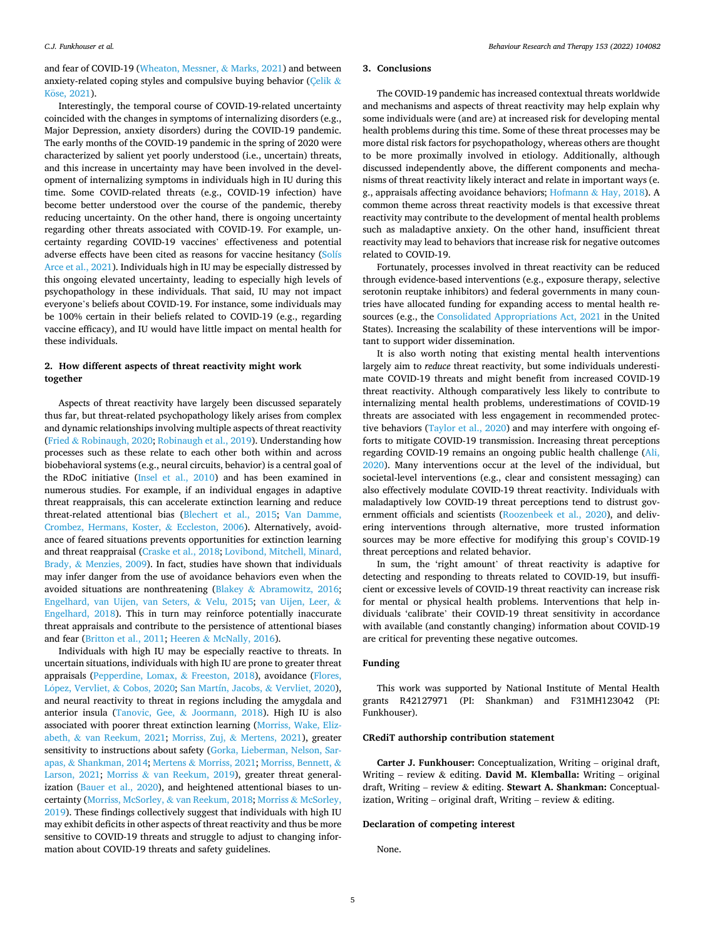and fear of COVID-19 [\(Wheaton, Messner,](#page-8-0) & Marks, 2021) and between anxiety-related coping styles and compulsive buying behavior [\(Çelik](#page-5-0)  $\&$ Köse, 2021).

Interestingly, the temporal course of COVID-19-related uncertainty coincided with the changes in symptoms of internalizing disorders (e.g., Major Depression, anxiety disorders) during the COVID-19 pandemic. The early months of the COVID-19 pandemic in the spring of 2020 were characterized by salient yet poorly understood (i.e., uncertain) threats, and this increase in uncertainty may have been involved in the development of internalizing symptoms in individuals high in IU during this time. Some COVID-related threats (e.g., COVID-19 infection) have become better understood over the course of the pandemic, thereby reducing uncertainty. On the other hand, there is ongoing uncertainty regarding other threats associated with COVID-19. For example, uncertainty regarding COVID-19 vaccines' effectiveness and potential adverse effects have been cited as reasons for vaccine hesitancy [\(Solís](#page-7-0)  [Arce et al., 2021\)](#page-7-0). Individuals high in IU may be especially distressed by this ongoing elevated uncertainty, leading to especially high levels of psychopathology in these individuals. That said, IU may not impact everyone's beliefs about COVID-19. For instance, some individuals may be 100% certain in their beliefs related to COVID-19 (e.g., regarding vaccine efficacy), and IU would have little impact on mental health for these individuals.

# **2. How different aspects of threat reactivity might work together**

Aspects of threat reactivity have largely been discussed separately thus far, but threat-related psychopathology likely arises from complex and dynamic relationships involving multiple aspects of threat reactivity (Fried & [Robinaugh, 2020](#page-6-0); [Robinaugh et al., 2019\)](#page-7-0). Understanding how processes such as these relate to each other both within and across biobehavioral systems (e.g., neural circuits, behavior) is a central goal of the RDoC initiative ([Insel et al., 2010](#page-6-0)) and has been examined in numerous studies. For example, if an individual engages in adaptive threat reappraisals, this can accelerate extinction learning and reduce threat-related attentional bias [\(Blechert et al., 2015;](#page-5-0) [Van Damme,](#page-8-0)  [Crombez, Hermans, Koster,](#page-8-0) & Eccleston, 2006). Alternatively, avoidance of feared situations prevents opportunities for extinction learning and threat reappraisal [\(Craske et al., 2018;](#page-5-0) [Lovibond, Mitchell, Minard,](#page-6-0)  Brady, & [Menzies, 2009](#page-6-0)). In fact, studies have shown that individuals may infer danger from the use of avoidance behaviors even when the avoided situations are nonthreatening (Blakey & [Abramowitz, 2016](#page-5-0); [Engelhard, van Uijen, van Seters,](#page-5-0) & Velu, 2015; [van Uijen, Leer,](#page-8-0) & [Engelhard, 2018\)](#page-8-0). This in turn may reinforce potentially inaccurate threat appraisals and contribute to the persistence of attentional biases and fear [\(Britton et al., 2011](#page-5-0); Heeren & [McNally, 2016](#page-6-0)).

Individuals with high IU may be especially reactive to threats. In uncertain situations, individuals with high IU are prone to greater threat appraisals ([Pepperdine, Lomax,](#page-7-0) & Freeston, 2018), avoidance [\(Flores,](#page-5-0)  López, Vervliet, & [Cobos, 2020;](#page-5-0) [San Martín, Jacobs,](#page-7-0) & Vervliet, 2020), and neural reactivity to threat in regions including the amygdala and anterior insula (Tanovic, Gee, & [Joormann, 2018](#page-7-0)). High IU is also associated with poorer threat extinction learning [\(Morriss, Wake, Eliz](#page-7-0)abeth, & [van Reekum, 2021](#page-7-0); Morriss, Zuj, & [Mertens, 2021](#page-7-0)), greater sensitivity to instructions about safety ([Gorka, Lieberman, Nelson, Sar](#page-6-0)apas, & [Shankman, 2014;](#page-6-0) Mertens & [Morriss, 2021](#page-6-0); [Morriss, Bennett,](#page-6-0) & [Larson, 2021;](#page-6-0) Morriss & [van Reekum, 2019](#page-7-0)), greater threat generalization ([Bauer et al., 2020\)](#page-5-0), and heightened attentional biases to uncertainty ([Morriss, McSorley,](#page-7-0) & van Reekum, 2018; Morriss & [McSorley,](#page-7-0)  [2019\)](#page-7-0). These findings collectively suggest that individuals with high IU may exhibit deficits in other aspects of threat reactivity and thus be more sensitive to COVID-19 threats and struggle to adjust to changing information about COVID-19 threats and safety guidelines.

#### **3. Conclusions**

The COVID-19 pandemic has increased contextual threats worldwide and mechanisms and aspects of threat reactivity may help explain why some individuals were (and are) at increased risk for developing mental health problems during this time. Some of these threat processes may be more distal risk factors for psychopathology, whereas others are thought to be more proximally involved in etiology. Additionally, although discussed independently above, the different components and mechanisms of threat reactivity likely interact and relate in important ways (e. g., appraisals affecting avoidance behaviors; Hofmann & [Hay, 2018\)](#page-6-0). A common theme across threat reactivity models is that excessive threat reactivity may contribute to the development of mental health problems such as maladaptive anxiety. On the other hand, insufficient threat reactivity may lead to behaviors that increase risk for negative outcomes related to COVID-19.

Fortunately, processes involved in threat reactivity can be reduced through evidence-based interventions (e.g., exposure therapy, selective serotonin reuptake inhibitors) and federal governments in many countries have allocated funding for expanding access to mental health resources (e.g., the [Consolidated Appropriations Act, 2021](#page-5-0) in the United States). Increasing the scalability of these interventions will be important to support wider dissemination.

It is also worth noting that existing mental health interventions largely aim to *reduce* threat reactivity, but some individuals underestimate COVID-19 threats and might benefit from increased COVID-19 threat reactivity. Although comparatively less likely to contribute to internalizing mental health problems, underestimations of COVID-19 threats are associated with less engagement in recommended protective behaviors [\(Taylor et al., 2020\)](#page-8-0) and may interfere with ongoing efforts to mitigate COVID-19 transmission. Increasing threat perceptions regarding COVID-19 remains an ongoing public health challenge [\(Ali,](#page-5-0)  [2020\)](#page-5-0). Many interventions occur at the level of the individual, but societal-level interventions (e.g., clear and consistent messaging) can also effectively modulate COVID-19 threat reactivity. Individuals with maladaptively low COVID-19 threat perceptions tend to distrust government officials and scientists ([Roozenbeek et al., 2020\)](#page-7-0), and delivering interventions through alternative, more trusted information sources may be more effective for modifying this group's COVID-19 threat perceptions and related behavior.

In sum, the 'right amount' of threat reactivity is adaptive for detecting and responding to threats related to COVID-19, but insufficient or excessive levels of COVID-19 threat reactivity can increase risk for mental or physical health problems. Interventions that help individuals 'calibrate' their COVID-19 threat sensitivity in accordance with available (and constantly changing) information about COVID-19 are critical for preventing these negative outcomes.

### **Funding**

This work was supported by National Institute of Mental Health grants R42127971 (PI: Shankman) and F31MH123042 (PI: Funkhouser).

## **CRediT authorship contribution statement**

**Carter J. Funkhouser:** Conceptualization, Writing – original draft, Writing – review & editing. **David M. Klemballa:** Writing – original draft, Writing – review & editing. **Stewart A. Shankman:** Conceptualization, Writing – original draft, Writing – review & editing.

### **Declaration of competing interest**

None.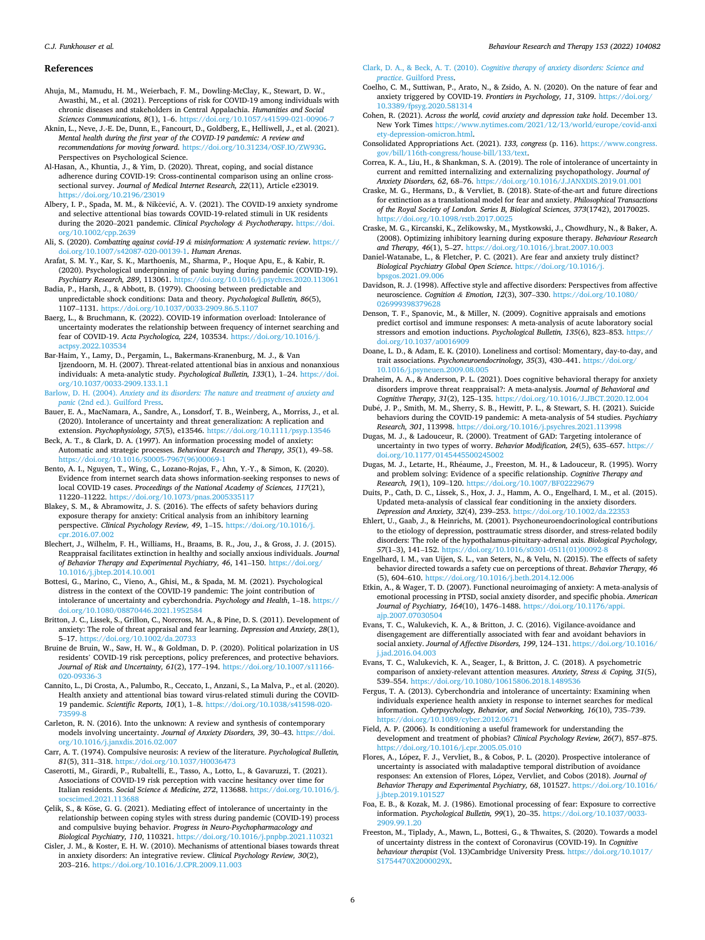#### *Behaviour Research and Therapy 153 (2022) 104082*

#### <span id="page-5-0"></span>**References**

Ahuja, M., Mamudu, H. M., Weierbach, F. M., Dowling-McClay, K., Stewart, D. W., Awasthi, M., et al. (2021). Perceptions of risk for COVID-19 among individuals with chronic diseases and stakeholders in Central Appalachia. *Humanities and Social Sciences Communications, 8*(1), 1–6. <https://doi.org/10.1057/s41599-021-00906-7>

Aknin, L., Neve, J.-E. De, Dunn, E., Fancourt, D., Goldberg, E., Helliwell, J., et al. (2021). *Mental health during the first year of the COVID-19 pandemic: A review and recommendations for moving forward*. [https://doi.org/10.31234/OSF.IO/ZW93G.](https://doi.org/10.31234/OSF.IO/ZW93G) Perspectives on Psychological Science.

Al-Hasan, A., Khuntia, J., & Yim, D. (2020). Threat, coping, and social distance adherence during COVID-19: Cross-continental comparison using an online crosssectional survey. *Journal of Medical Internet Research, 22*(11), Article e23019. <https://doi.org/10.2196/23019>

Albery, I. P., Spada, M. M., & Nikčević, A. V. (2021). The COVID-19 anxiety syndrome and selective attentional bias towards COVID-19-related stimuli in UK residents during the 2020–2021 pandemic. *Clinical Psychology & Psychotherapy*. [https://doi.](https://doi.org/10.1002/cpp.2639) [org/10.1002/cpp.2639](https://doi.org/10.1002/cpp.2639) 

Ali, S. (2020). *Combatting against covid-19 & misinformation: A systematic review*. [https://](https://doi.org/10.1007/s42087-020-00139-1)  [doi.org/10.1007/s42087-020-00139-1](https://doi.org/10.1007/s42087-020-00139-1). *Human Arenas*.

Arafat, S. M. Y., Kar, S. K., Marthoenis, M., Sharma, P., Hoque Apu, E., & Kabir, R. (2020). Psychological underpinning of panic buying during pandemic (COVID-19). *Psychiatry Research, 289*, 113061. <https://doi.org/10.1016/j.psychres.2020.113061>

Badia, P., Harsh, J., & Abbott, B. (1979). Choosing between predictable and unpredictable shock conditions: Data and theory. *Psychological Bulletin, 86*(5), 1107–1131.<https://doi.org/10.1037/0033-2909.86.5.1107>

Baerg, L., & Bruchmann, K. (2022). COVID-19 information overload: Intolerance of uncertainty moderates the relationship between frequency of internet searching and fear of COVID-19. *Acta Psychologica, 224*, 103534. [https://doi.org/10.1016/j.](https://doi.org/10.1016/j.actpsy.2022.103534)  ctpsy.2022.10353

Bar-Haim, Y., Lamy, D., Pergamin, L., Bakermans-Kranenburg, M. J., & Van Ijzendoorn, M. H. (2007). Threat-related attentional bias in anxious and nonanxious individuals: A meta-analytic study. *Psychological Bulletin, 133*(1), 1–24. [https://doi.](https://doi.org/10.1037/0033-2909.133.1.1)  [org/10.1037/0033-2909.133.1.1](https://doi.org/10.1037/0033-2909.133.1.1) 

Barlow, D. H. (2004). *[Anxiety and its disorders: The nature and treatment of anxiety and](http://refhub.elsevier.com/S0005-7967(22)00053-5/sref10) panic* [\(2nd ed.\). Guilford Press](http://refhub.elsevier.com/S0005-7967(22)00053-5/sref10).

Bauer, E. A., MacNamara, A., Sandre, A., Lonsdorf, T. B., Weinberg, A., Morriss, J., et al. (2020). Intolerance of uncertainty and threat generalization: A replication and extension. *Psychophysiology, 57*(5), e13546. <https://doi.org/10.1111/psyp.13546>

Beck, A. T., & Clark, D. A. (1997). An information processing model of anxiety: Automatic and strategic processes. *Behaviour Research and Therapy, 35*(1), 49–58. [https://doi.org/10.1016/S0005-7967\(96\)00069-1](https://doi.org/10.1016/S0005-7967(96)00069-1) 

Bento, A. I., Nguyen, T., Wing, C., Lozano-Rojas, F., Ahn, Y.-Y., & Simon, K. (2020). Evidence from internet search data shows information-seeking responses to news of local COVID-19 cases. *Proceedings of the National Academy of Sciences, 117*(21), 11220–11222. <https://doi.org/10.1073/pnas.2005335117>

Blakey, S. M., & Abramowitz, J. S. (2016). The effects of safety behaviors during exposure therapy for anxiety: Critical analysis from an inhibitory learning perspective. *Clinical Psychology Review, 49*, 1–15. [https://doi.org/10.1016/j.](https://doi.org/10.1016/j.cpr.2016.07.002) or.2016.07.002

Blechert, J., Wilhelm, F. H., Williams, H., Braams, B. R., Jou, J., & Gross, J. J. (2015). Reappraisal facilitates extinction in healthy and socially anxious individuals. *Journal of Behavior Therapy and Experimental Psychiatry, 46*, 141–150. [https://doi.org/](https://doi.org/10.1016/j.jbtep.2014.10.001)  [10.1016/j.jbtep.2014.10.001](https://doi.org/10.1016/j.jbtep.2014.10.001) 

Bottesi, G., Marino, C., Vieno, A., Ghisi, M., & Spada, M. M. (2021). Psychological distress in the context of the COVID-19 pandemic: The joint contribution of intolerance of uncertainty and cyberchondria. *Psychology and Health*, 1–18. [https://](https://doi.org/10.1080/08870446.2021.1952584)  [doi.org/10.1080/08870446.2021.1952584](https://doi.org/10.1080/08870446.2021.1952584) 

Britton, J. C., Lissek, S., Grillon, C., Norcross, M. A., & Pine, D. S. (2011). Development of anxiety: The role of threat appraisal and fear learning. *Depression and Anxiety, 28*(1), 5–17.<https://doi.org/10.1002/da.20733>

Bruine de Bruin, W., Saw, H. W., & Goldman, D. P. (2020). Political polarization in US residents' COVID-19 risk perceptions, policy preferences, and protective behaviors. *Journal of Risk and Uncertainty, 61*(2), 177–194. [https://doi.org/10.1007/s11166-](https://doi.org/10.1007/s11166-020-09336-3)  [020-09336-3](https://doi.org/10.1007/s11166-020-09336-3) 

Cannito, L., Di Crosta, A., Palumbo, R., Ceccato, I., Anzani, S., La Malva, P., et al. (2020). Health anxiety and attentional bias toward virus-related stimuli during the COVID-19 pandemic. *Scientific Reports, 10*(1), 1–8. [https://doi.org/10.1038/s41598-020-](https://doi.org/10.1038/s41598-020-73599-8) [73599-8](https://doi.org/10.1038/s41598-020-73599-8)

Carleton, R. N. (2016). Into the unknown: A review and synthesis of contemporary models involving uncertainty. *Journal of Anxiety Disorders, 39*, 30–43. [https://doi.](https://doi.org/10.1016/j.janxdis.2016.02.007) [org/10.1016/j.janxdis.2016.02.007](https://doi.org/10.1016/j.janxdis.2016.02.007) 

Carr, A. T. (1974). Compulsive neurosis: A review of the literature. *Psychological Bulletin, 81*(5), 311–318. <https://doi.org/10.1037/H0036473>

Caserotti, M., Girardi, P., Rubaltelli, E., Tasso, A., Lotto, L., & Gavaruzzi, T. (2021). Associations of COVID-19 risk perception with vaccine hesitancy over time for Italian residents. *Social Science & Medicine, 272*, 113688. [https://doi.org/10.1016/j.](https://doi.org/10.1016/j.socscimed.2021.113688)  [socscimed.2021.113688](https://doi.org/10.1016/j.socscimed.2021.113688) 

Çelik, S., & Köse, G. G. (2021). Mediating effect of intolerance of uncertainty in the relationship between coping styles with stress during pandemic (COVID-19) process and compulsive buying behavior. *Progress in Neuro-Psychopharmacology and Biological Psychiatry, 110*, 110321.<https://doi.org/10.1016/j.pnpbp.2021.110321>

Cisler, J. M., & Koster, E. H. W. (2010). Mechanisms of attentional biases towards threat in anxiety disorders: An integrative review. *Clinical Psychology Review, 30*(2), 203–216. <https://doi.org/10.1016/J.CPR.2009.11.003>

Clark, D. A., & Beck, A. T. (2010). *[Cognitive therapy of anxiety disorders: Science and](http://refhub.elsevier.com/S0005-7967(22)00053-5/sref25) practice*[. Guilford Press](http://refhub.elsevier.com/S0005-7967(22)00053-5/sref25).

- Coelho, C. M., Suttiwan, P., Arato, N., & Zsido, A. N. (2020). On the nature of fear and anxiety triggered by COVID-19. *Frontiers in Psychology, 11*, 3109. [https://doi.org/](https://doi.org/10.3389/fpsyg.2020.581314) [10.3389/fpsyg.2020.581314](https://doi.org/10.3389/fpsyg.2020.581314)
- Cohen, R. (2021). *Across the world, covid anxiety and depression take hold*. December 13. New York Times [https://www.nytimes.com/2021/12/13/world/europe/covid-anxi](https://www.nytimes.com/2021/12/13/world/europe/covid-anxiety-depression-omicron.html) [ety-depression-omicron.html.](https://www.nytimes.com/2021/12/13/world/europe/covid-anxiety-depression-omicron.html)
- Consolidated Appropriations Act. (2021). *133, congress* (p. 116). [https://www.congress.](https://www.congress.gov/bill/116th-congress/house-bill/133/text)  [gov/bill/116th-congress/house-bill/133/text.](https://www.congress.gov/bill/116th-congress/house-bill/133/text)

Correa, K. A., Liu, H., & Shankman, S. A. (2019). The role of intolerance of uncertainty in current and remitted internalizing and externalizing psychopathology. *Journal of Anxiety Disorders, 62*, 68–76.<https://doi.org/10.1016/J.JANXDIS.2019.01.001>

Craske, M. G., Hermans, D., & Vervliet, B. (2018). State-of-the-art and future directions for extinction as a translational model for fear and anxiety. *Philosophical Transactions of the Royal Society of London. Series B, Biological Sciences, 373*(1742), 20170025. <https://doi.org/10.1098/rstb.2017.0025>

Craske, M. G., Kircanski, K., Zelikowsky, M., Mystkowski, J., Chowdhury, N., & Baker, A. (2008). Optimizing inhibitory learning during exposure therapy. *Behaviour Research and Therapy, 46*(1), 5–27. <https://doi.org/10.1016/j.brat.2007.10.003>

Daniel-Watanabe, L., & Fletcher, P. C. (2021). Are fear and anxiety truly distinct? *Biological Psychiatry Global Open Science*. [https://doi.org/10.1016/j.](https://doi.org/10.1016/j.bpsgos.2021.09.006)  [bpsgos.2021.09.006](https://doi.org/10.1016/j.bpsgos.2021.09.006)

Davidson, R. J. (1998). Affective style and affective disorders: Perspectives from affective neuroscience. *Cognition & Emotion, 12*(3), 307–330. [https://doi.org/10.1080/](https://doi.org/10.1080/026999398379628) [026999398379628](https://doi.org/10.1080/026999398379628)

Denson, T. F., Spanovic, M., & Miller, N. (2009). Cognitive appraisals and emotions predict cortisol and immune responses: A meta-analysis of acute laboratory social stressors and emotion inductions. *Psychological Bulletin, 135*(6), 823–853. [https://](https://doi.org/10.1037/a0016909)  [doi.org/10.1037/a0016909](https://doi.org/10.1037/a0016909) 

Doane, L. D., & Adam, E. K. (2010). Loneliness and cortisol: Momentary, day-to-day, and trait associations. *Psychoneuroendocrinology, 35*(3), 430–441. [https://doi.org/](https://doi.org/10.1016/j.psyneuen.2009.08.005) [10.1016/j.psyneuen.2009.08.005](https://doi.org/10.1016/j.psyneuen.2009.08.005) 

Draheim, A. A., & Anderson, P. L. (2021). Does cognitive behavioral therapy for anxiety disorders improve threat reappraisal?: A meta-analysis. *Journal of Behavioral and Cognitive Therapy, 31*(2), 125–135. <https://doi.org/10.1016/J.JBCT.2020.12.004>

Dub´e, J. P., Smith, M. M., Sherry, S. B., Hewitt, P. L., & Stewart, S. H. (2021). Suicide behaviors during the COVID-19 pandemic: A meta-analysis of 54 studies. *Psychiatry Research, 301*, 113998. <https://doi.org/10.1016/j.psychres.2021.113998>

Dugas, M. J., & Ladouceur, R. (2000). Treatment of GAD: Targeting intolerance of uncertainty in two types of worry. *Behavior Modification, 24*(5), 635–657. [https://](https://doi.org/10.1177/0145445500245002) [doi.org/10.1177/0145445500245002](https://doi.org/10.1177/0145445500245002) 

Dugas, M. J., Letarte, H., Rhéaume, J., Freeston, M. H., & Ladouceur, R. (1995). Worry and problem solving: Evidence of a specific relationship. *Cognitive Therapy and Research, 19*(1), 109–120.<https://doi.org/10.1007/BF02229679>

Duits, P., Cath, D. C., Lissek, S., Hox, J. J., Hamm, A. O., Engelhard, I. M., et al. (2015). Updated meta-analysis of classical fear conditioning in the anxiety disorders. *Depression and Anxiety, 32*(4), 239–253. <https://doi.org/10.1002/da.22353>

Ehlert, U., Gaab, J., & Heinrichs, M. (2001). Psychoneuroendocrinological contributions to the etiology of depression, posttraumatic stress disorder, and stress-related bodily disorders: The role of the hypothalamus-pituitary-adrenal axis. *Biological Psychology, 57*(1–3), 141–152. [https://doi.org/10.1016/s0301-0511\(01\)00092-8](https://doi.org/10.1016/s0301-0511(01)00092-8)

Engelhard, I. M., van Uijen, S. L., van Seters, N., & Velu, N. (2015). The effects of safety behavior directed towards a safety cue on perceptions of threat. *Behavior Therapy, 46*  (5), 604–610.<https://doi.org/10.1016/j.beth.2014.12.006>

Etkin, A., & Wager, T. D. (2007). Functional neuroimaging of anxiety: A meta-analysis of emotional processing in PTSD, social anxiety disorder, and specific phobia. *American Journal of Psychiatry, 164*(10), 1476–1488. [https://doi.org/10.1176/appi.](https://doi.org/10.1176/appi.ajp.2007.07030504) [ajp.2007.07030504](https://doi.org/10.1176/appi.ajp.2007.07030504) 

Evans, T. C., Walukevich, K. A., & Britton, J. C. (2016). Vigilance-avoidance and disengagement are differentially associated with fear and avoidant behaviors in social anxiety. *Journal of Affective Disorders, 199*, 124–131. [https://doi.org/10.1016/](https://doi.org/10.1016/j.jad.2016.04.003)  [j.jad.2016.04.003](https://doi.org/10.1016/j.jad.2016.04.003) 

Evans, T. C., Walukevich, K. A., Seager, I., & Britton, J. C. (2018). A psychometric comparison of anxiety-relevant attention measures. *Anxiety, Stress & Coping, 31*(5), 539–554. <https://doi.org/10.1080/10615806.2018.1489536>

Fergus, T. A. (2013). Cyberchondria and intolerance of uncertainty: Examining when individuals experience health anxiety in response to internet searches for medical information. *Cyberpsychology, Behavior, and Social Networking, 16*(10), 735–739. <https://doi.org/10.1089/cyber.2012.0671>

Field, A. P. (2006). Is conditioning a useful framework for understanding the development and treatment of phobias? *Clinical Psychology Review, 26*(7), 857–875. <https://doi.org/10.1016/j.cpr.2005.05.010>

Flores, A., López, F. J., Vervliet, B., & Cobos, P. L. (2020). Prospective intolerance of uncertainty is associated with maladaptive temporal distribution of avoidance responses: An extension of Flores, López, Vervliet, and Cobos (2018). *Journal of Behavior Therapy and Experimental Psychiatry, 68*, 101527. [https://doi.org/10.1016/](https://doi.org/10.1016/j.jbtep.2019.101527)  jbtep.2019.10152

Foa, E. B., & Kozak, M. J. (1986). Emotional processing of fear: Exposure to corrective information. *Psychological Bulletin, 99*(1), 20–35. [https://doi.org/10.1037/0033-](https://doi.org/10.1037/0033-2909.99.1.20) [2909.99.1.20](https://doi.org/10.1037/0033-2909.99.1.20)

Freeston, M., Tiplady, A., Mawn, L., Bottesi, G., & Thwaites, S. (2020). Towards a model of uncertainty distress in the context of Coronavirus (COVID-19). In *Cognitive behaviour therapist* (Vol. 13)Cambridge University Press. [https://doi.org/10.1017/](https://doi.org/10.1017/S1754470X2000029X) [S1754470X2000029X](https://doi.org/10.1017/S1754470X2000029X).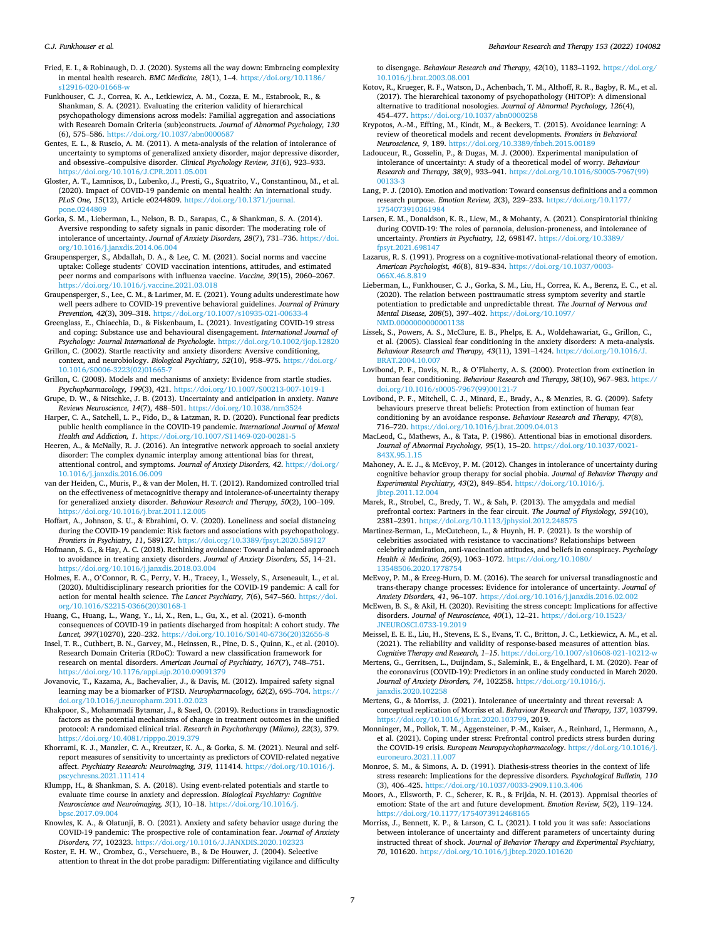<span id="page-6-0"></span>Fried, E. I., & Robinaugh, D. J. (2020). Systems all the way down: Embracing complexity in mental health research. *BMC Medicine, 18*(1), 1–4. [https://doi.org/10.1186/](https://doi.org/10.1186/s12916-020-01668-w) [s12916-020-01668-w](https://doi.org/10.1186/s12916-020-01668-w) 

- Funkhouser, C. J., Correa, K. A., Letkiewicz, A. M., Cozza, E. M., Estabrook, R., & Shankman, S. A. (2021). Evaluating the criterion validity of hierarchical psychopathology dimensions across models: Familial aggregation and associations with Research Domain Criteria (sub)constructs. *Journal of Abnormal Psychology, 130*  (6), 575–586.<https://doi.org/10.1037/abn0000687>
- Gentes, E. L., & Ruscio, A. M. (2011). A meta-analysis of the relation of intolerance of uncertainty to symptoms of generalized anxiety disorder, major depressive disorder, and obsessive–compulsive disorder. *Clinical Psychology Review, 31*(6), 923–933. <https://doi.org/10.1016/J.CPR.2011.05.001>
- Gloster, A. T., Lamnisos, D., Lubenko, J., Presti, G., Squatrito, V., Constantinou, M., et al. (2020). Impact of COVID-19 pandemic on mental health: An international study. *PLoS One, 15*(12), Article e0244809. [https://doi.org/10.1371/journal.](https://doi.org/10.1371/journal.pone.0244809)  [pone.0244809](https://doi.org/10.1371/journal.pone.0244809)
- Gorka, S. M., Lieberman, L., Nelson, B. D., Sarapas, C., & Shankman, S. A. (2014). Aversive responding to safety signals in panic disorder: The moderating role of intolerance of uncertainty. *Journal of Anxiety Disorders, 28*(7), 731–736. [https://doi.](https://doi.org/10.1016/j.janxdis.2014.06.004)  [org/10.1016/j.janxdis.2014.06.004](https://doi.org/10.1016/j.janxdis.2014.06.004)
- Graupensperger, S., Abdallah, D. A., & Lee, C. M. (2021). Social norms and vaccine uptake: College students' COVID vaccination intentions, attitudes, and estimated peer norms and comparisons with influenza vaccine. *Vaccine, 39*(15), 2060–2067. <https://doi.org/10.1016/j.vaccine.2021.03.018>
- Graupensperger, S., Lee, C. M., & Larimer, M. E. (2021). Young adults underestimate how well peers adhere to COVID-19 preventive behavioral guidelines. *Journal of Primary Prevention, 42*(3), 309–318. <https://doi.org/10.1007/s10935-021-00633-4>
- Greenglass, E., Chiacchia, D., & Fiskenbaum, L. (2021). Investigating COVID-19 stress and coping: Substance use and behavioural disengagement. *International Journal of Psychology: Journal International de Psychologie*.<https://doi.org/10.1002/ijop.12820>
- Grillon, C. (2002). Startle reactivity and anxiety disorders: Aversive conditioning, context, and neurobiology. *Biological Psychiatry, 52*(10), 958–975. [https://doi.org/](https://doi.org/10.1016/S0006-3223(02)01665-7)  [10.1016/S0006-3223\(02\)01665-7](https://doi.org/10.1016/S0006-3223(02)01665-7)
- Grillon, C. (2008). Models and mechanisms of anxiety: Evidence from startle studies. *Psychopharmacology, 199*(3), 421. <https://doi.org/10.1007/S00213-007-1019-1>
- Grupe, D. W., & Nitschke, J. B. (2013). Uncertainty and anticipation in anxiety. *Nature Reviews Neuroscience, 14*(7), 488–501. <https://doi.org/10.1038/nrn3524>
- Harper, C. A., Satchell, L. P., Fido, D., & Latzman, R. D. (2020). Functional fear predicts public health compliance in the COVID-19 pandemic. *International Journal of Mental Health and Addiction, 1*. <https://doi.org/10.1007/S11469-020-00281-5>
- Heeren, A., & McNally, R. J. (2016). An integrative network approach to social anxiety disorder: The complex dynamic interplay among attentional bias for threat, attentional control, and symptoms. *Journal of Anxiety Disorders, 42*. [https://doi.org/](https://doi.org/10.1016/j.janxdis.2016.06.009)  [10.1016/j.janxdis.2016.06.009](https://doi.org/10.1016/j.janxdis.2016.06.009)
- van der Heiden, C., Muris, P., & van der Molen, H. T. (2012). Randomized controlled trial on the effectiveness of metacognitive therapy and intolerance-of-uncertainty therapy for generalized anxiety disorder. *Behaviour Research and Therapy, 50*(2), 100–109. <https://doi.org/10.1016/j.brat.2011.12.005>
- Hoffart, A., Johnson, S. U., & Ebrahimi, O. V. (2020). Loneliness and social distancing during the COVID-19 pandemic: Risk factors and associations with psychopathology. *Frontiers in Psychiatry, 11*, 589127.<https://doi.org/10.3389/fpsyt.2020.589127>
- Hofmann, S. G., & Hay, A. C. (2018). Rethinking avoidance: Toward a balanced approach to avoidance in treating anxiety disorders. *Journal of Anxiety Disorders, 55*, 14–21. <https://doi.org/10.1016/j.janxdis.2018.03.004>
- Holmes, E. A., O'Connor, R. C., Perry, V. H., Tracey, I., Wessely, S., Arseneault, L., et al. (2020). Multidisciplinary research priorities for the COVID-19 pandemic: A call for action for mental health science. *The Lancet Psychiatry, 7*(6), 547–560. [https://doi.](https://doi.org/10.1016/S2215-0366(20)30168-1)  [org/10.1016/S2215-0366\(20\)30168-1](https://doi.org/10.1016/S2215-0366(20)30168-1)
- Huang, C., Huang, L., Wang, Y., Li, X., Ren, L., Gu, X., et al. (2021). 6-month consequences of COVID-19 in patients discharged from hospital: A cohort study. *The*  Lancet, 397(10270), 220-232. https://doi.org/10.1016/S0140-6736(20)32656-
- Insel, T. R., Cuthbert, B. N., Garvey, M., Heinssen, R., Pine, D. S., Quinn, K., et al. (2010). Research Domain Criteria (RDoC): Toward a new classification framework for research on mental disorders. *American Journal of Psychiatry, 167*(7), 748–751. <https://doi.org/10.1176/appi.ajp.2010.09091379>
- Jovanovic, T., Kazama, A., Bachevalier, J., & Davis, M. (2012). Impaired safety signal learning may be a biomarker of PTSD. *Neuropharmacology, 62*(2), 695–704. [https://](https://doi.org/10.1016/j.neuropharm.2011.02.023)  [doi.org/10.1016/j.neuropharm.2011.02.023](https://doi.org/10.1016/j.neuropharm.2011.02.023)
- Khakpoor, S., Mohammadi Bytamar, J., & Saed, O. (2019). Reductions in transdiagnostic factors as the potential mechanisms of change in treatment outcomes in the unified protocol: A randomized clinical trial. *Research in Psychotherapy (Milano), 22*(3), 379. <https://doi.org/10.4081/ripppo.2019.379>
- Khorrami, K. J., Manzler, C. A., Kreutzer, K. A., & Gorka, S. M. (2021). Neural and selfreport measures of sensitivity to uncertainty as predictors of COVID-related negative affect. *Psychiatry Research: Neuroimaging, 319*, 111414. [https://doi.org/10.1016/j.](https://doi.org/10.1016/j.pscychresns.2021.111414)  [pscychresns.2021.111414](https://doi.org/10.1016/j.pscychresns.2021.111414)
- Klumpp, H., & Shankman, S. A. (2018). Using event-related potentials and startle to evaluate time course in anxiety and depression. *Biological Psychiatry: Cognitive Neuroscience and Neuroimaging, 3*(1), 10–18. [https://doi.org/10.1016/j.](https://doi.org/10.1016/j.bpsc.2017.09.004) [bpsc.2017.09.004](https://doi.org/10.1016/j.bpsc.2017.09.004)
- Knowles, K. A., & Olatunji, B. O. (2021). Anxiety and safety behavior usage during the COVID-19 pandemic: The prospective role of contamination fear. *Journal of Anxiety Disorders, 77*, 102323. <https://doi.org/10.1016/J.JANXDIS.2020.102323>
- Koster, E. H. W., Crombez, G., Verschuere, B., & De Houwer, J. (2004). Selective attention to threat in the dot probe paradigm: Differentiating vigilance and difficulty

to disengage. *Behaviour Research and Therapy, 42*(10), 1183–1192. [https://doi.org/](https://doi.org/10.1016/j.brat.2003.08.001) [10.1016/j.brat.2003.08.001](https://doi.org/10.1016/j.brat.2003.08.001) 

- Kotov, R., Krueger, R. F., Watson, D., Achenbach, T. M., Althoff, R. R., Bagby, R. M., et al. (2017). The hierarchical taxonomy of psychopathology (HiTOP): A dimensional alternative to traditional nosologies. *Journal of Abnormal Psychology, 126*(4), 454–477. <https://doi.org/10.1037/abn0000258>
- Krypotos, A.-M., Effting, M., Kindt, M., & Beckers, T. (2015). Avoidance learning: A review of theoretical models and recent developments. *Frontiers in Behavioral Neuroscience, 9*, 189.<https://doi.org/10.3389/fnbeh.2015.00189>
- Ladouceur, R., Gosselin, P., & Dugas, M. J. (2000). Experimental manipulation of intolerance of uncertainty: A study of a theoretical model of worry. *Behaviour Research and Therapy, 38*(9), 933–941. [https://doi.org/10.1016/S0005-7967\(99\)](https://doi.org/10.1016/S0005-7967(99)00133-3) [00133-3](https://doi.org/10.1016/S0005-7967(99)00133-3)
- Lang, P. J. (2010). Emotion and motivation: Toward consensus definitions and a common research purpose. *Emotion Review, 2*(3), 229–233. [https://doi.org/10.1177/](https://doi.org/10.1177/1754073910361984)  [1754073910361984](https://doi.org/10.1177/1754073910361984)
- Larsen, E. M., Donaldson, K. R., Liew, M., & Mohanty, A. (2021). Conspiratorial thinking during COVID-19: The roles of paranoia, delusion-proneness, and intolerance of uncertainty. *Frontiers in Psychiatry, 12, 698147.* [https://doi.org/10.3389/](https://doi.org/10.3389/fpsyt.2021.698147) [fpsyt.2021.698147](https://doi.org/10.3389/fpsyt.2021.698147)
- Lazarus, R. S. (1991). Progress on a cognitive-motivational-relational theory of emotion. *American Psychologist, 46*(8), 819–834. [https://doi.org/10.1037/0003-](https://doi.org/10.1037/0003-066X.46.8.819)  [066X.46.8.819](https://doi.org/10.1037/0003-066X.46.8.819)
- Lieberman, L., Funkhouser, C. J., Gorka, S. M., Liu, H., Correa, K. A., Berenz, E. C., et al. (2020). The relation between posttraumatic stress symptom severity and startle potentiation to predictable and unpredictable threat. *The Journal of Nervous and Mental Disease, 208*(5), 397–402. [https://doi.org/10.1097/](https://doi.org/10.1097/NMD.0000000000001138) [NMD.0000000000001138](https://doi.org/10.1097/NMD.0000000000001138)
- Lissek, S., Powers, A. S., McClure, E. B., Phelps, E. A., Woldehawariat, G., Grillon, C., et al. (2005). Classical fear conditioning in the anxiety disorders: A meta-analysis. *Behaviour Research and Therapy, 43*(11), 1391–1424. [https://doi.org/10.1016/J.](https://doi.org/10.1016/J.BRAT.2004.10.007)  [BRAT.2004.10.007](https://doi.org/10.1016/J.BRAT.2004.10.007)
- Lovibond, P. F., Davis, N. R., & O'Flaherty, A. S. (2000). Protection from extinction in human fear conditioning. *Behaviour Research and Therapy, 38*(10), 967–983. [https://](https://doi.org/10.1016/s0005-7967(99)00121-7)  doi.org/10.1016/s0005
- Lovibond, P. F., Mitchell, C. J., Minard, E., Brady, A., & Menzies, R. G. (2009). Safety behaviours preserve threat beliefs: Protection from extinction of human fear conditioning by an avoidance response. *Behaviour Research and Therapy, 47*(8), 716–720. <https://doi.org/10.1016/j.brat.2009.04.013>
- MacLeod, C., Mathews, A., & Tata, P. (1986). Attentional bias in emotional disorders. *Journal of Abnormal Psychology, 95*(1), 15–20. [https://doi.org/10.1037/0021-](https://doi.org/10.1037/0021-843X.95.1.15) [843X.95.1.15](https://doi.org/10.1037/0021-843X.95.1.15)
- Mahoney, A. E. J., & McEvoy, P. M. (2012). Changes in intolerance of uncertainty during cognitive behavior group therapy for social phobia. *Journal of Behavior Therapy and Experimental Psychiatry, 43*(2), 849–854. [https://doi.org/10.1016/j.](https://doi.org/10.1016/j.jbtep.2011.12.004)  [jbtep.2011.12.004](https://doi.org/10.1016/j.jbtep.2011.12.004)
- Marek, R., Strobel, C., Bredy, T. W., & Sah, P. (2013). The amygdala and medial prefrontal cortex: Partners in the fear circuit. *The Journal of Physiology, 591*(10), 2381-2391. https://doi.org/10.1113/jphysiol.2012.24857
- Martinez-Berman, L., McCutcheon, L., & Huynh, H. P. (2021). Is the worship of celebrities associated with resistance to vaccinations? Relationships between celebrity admiration, anti-vaccination attitudes, and beliefs in conspiracy. *Psychology Health & Medicine, 26*(9), 1063–1072. [https://doi.org/10.1080/](https://doi.org/10.1080/13548506.2020.1778754) [13548506.2020.1778754](https://doi.org/10.1080/13548506.2020.1778754)
- McEvoy, P. M., & Erceg-Hurn, D. M. (2016). The search for universal transdiagnostic and trans-therapy change processes: Evidence for intolerance of uncertainty. *Journal of Anxiety Disorders, 41*, 96–107. <https://doi.org/10.1016/j.janxdis.2016.02.002>
- McEwen, B. S., & Akil, H. (2020). Revisiting the stress concept: Implications for affective disorders. *Journal of Neuroscience, 40*(1), 12–21. [https://doi.org/10.1523/](https://doi.org/10.1523/JNEUROSCI.0733-19.2019) [JNEUROSCI.0733-19.2019](https://doi.org/10.1523/JNEUROSCI.0733-19.2019)
- Meissel, E. E. E., Liu, H., Stevens, E. S., Evans, T. C., Britton, J. C., Letkiewicz, A. M., et al. (2021). The reliability and validity of response-based measures of attention bias. *Cognitive Therapy and Research, 1*–*15*. <https://doi.org/10.1007/s10608-021-10212-w>
- Mertens, G., Gerritsen, L., Duijndam, S., Salemink, E., & Engelhard, I. M. (2020). Fear of the coronavirus (COVID-19): Predictors in an online study conducted in March 2020. *Journal of Anxiety Disorders, 74*, 102258. [https://doi.org/10.1016/j.](https://doi.org/10.1016/j.janxdis.2020.102258)  [janxdis.2020.102258](https://doi.org/10.1016/j.janxdis.2020.102258)
- Mertens, G., & Morriss, J. (2021). Intolerance of uncertainty and threat reversal: A conceptual replication of Morriss et al. *Behaviour Research and Therapy, 137*, 103799. [https://doi.org/10.1016/j.brat.2020.103799,](https://doi.org/10.1016/j.brat.2020.103799) 2019.
- Monninger, M., Pollok, T. M., Aggensteiner, P.-M., Kaiser, A., Reinhard, I., Hermann, A., et al. (2021). Coping under stress: Prefrontal control predicts stress burden during the COVID-19 crisis. *European Neuropsychopharmacology*. [https://doi.org/10.1016/j.](https://doi.org/10.1016/j.euroneuro.2021.11.007)  [euroneuro.2021.11.007](https://doi.org/10.1016/j.euroneuro.2021.11.007)
- Monroe, S. M., & Simons, A. D. (1991). Diathesis-stress theories in the context of life stress research: Implications for the depressive disorders. *Psychological Bulletin, 110*  (3), 406–425.<https://doi.org/10.1037/0033-2909.110.3.406>
- Moors, A., Ellsworth, P. C., Scherer, K. R., & Frijda, N. H. (2013). Appraisal theories of emotion: State of the art and future development. *Emotion Review, 5*(2), 119–124. <https://doi.org/10.1177/1754073912468165>
- Morriss, J., Bennett, K. P., & Larson, C. L. (2021). I told you it was safe: Associations between intolerance of uncertainty and different parameters of uncertainty during instructed threat of shock. *Journal of Behavior Therapy and Experimental Psychiatry, 70*, 101620. <https://doi.org/10.1016/j.jbtep.2020.101620>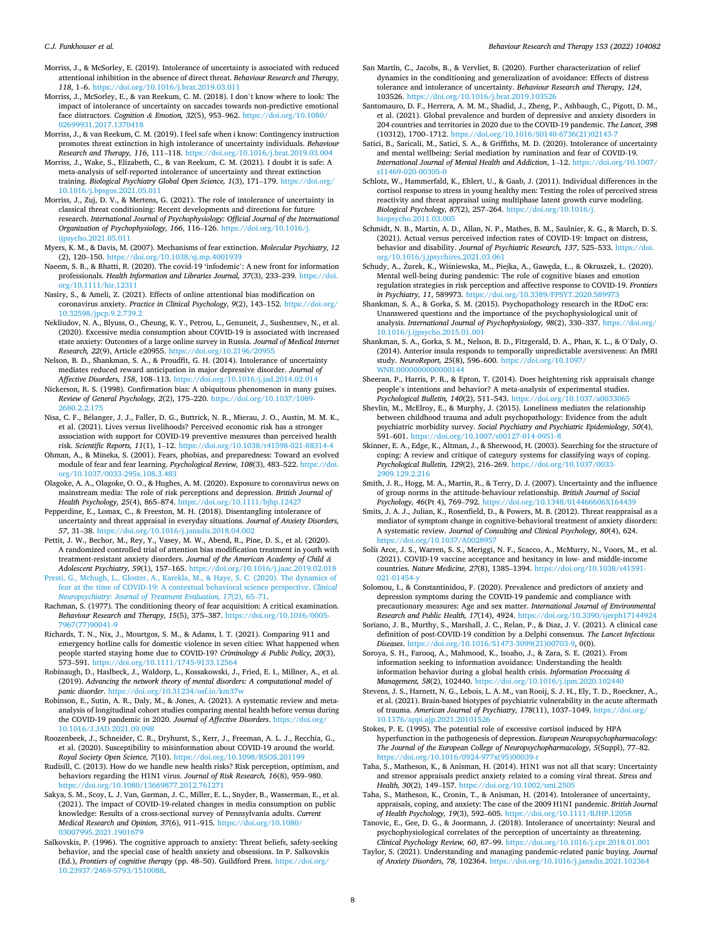- <span id="page-7-0"></span>Morriss, J., & McSorley, E. (2019). Intolerance of uncertainty is associated with reduced attentional inhibition in the absence of direct threat. *Behaviour Research and Therapy, 118*, 1–6.<https://doi.org/10.1016/j.brat.2019.03.011>
- Morriss, J., McSorley, E., & van Reekum, C. M. (2018). I don't know where to look: The impact of intolerance of uncertainty on saccades towards non-predictive emotional face distractors. *Cognition & Emotion, 32*(5), 953–962. [https://doi.org/10.1080/](https://doi.org/10.1080/02699931.2017.1370418)  [02699931.2017.1370418](https://doi.org/10.1080/02699931.2017.1370418)
- Morriss, J., & van Reekum, C. M. (2019). I feel safe when i know: Contingency instruction promotes threat extinction in high intolerance of uncertainty individuals. *Behaviour Research and Therapy, 116*, 111–118. <https://doi.org/10.1016/j.brat.2019.03.004>
- Morriss, J., Wake, S., Elizabeth, C., & van Reekum, C. M. (2021). I doubt it is safe: A meta-analysis of self-reported intolerance of uncertainty and threat extinction training. *Biological Psychiatry Global Open Science, 1*(3), 171–179. [https://doi.org/](https://doi.org/10.1016/j.bpsgos.2021.05.011)  [10.1016/j.bpsgos.2021.05.011](https://doi.org/10.1016/j.bpsgos.2021.05.011)
- Morriss, J., Zuj, D. V., & Mertens, G. (2021). The role of intolerance of uncertainty in classical threat conditioning: Recent developments and directions for future research. *International Journal of Psychophysiology: Official Journal of the International Organization of Psychophysiology, 166*, 116–126. [https://doi.org/10.1016/j.](https://doi.org/10.1016/j.ijpsycho.2021.05.011)  $cho.2021.05.01$
- Myers, K. M., & Davis, M. (2007). Mechanisms of fear extinction. *Molecular Psychiatry, 12*  (2), 120–150.<https://doi.org/10.1038/sj.mp.4001939>
- Naeem, S. B., & Bhatti, R. (2020). The covid-19 'infodemic': A new front for information professionals. *Health Information and Libraries Journal, 37*(3), 233–239. [https://doi.](https://doi.org/10.1111/hir.12311)  [org/10.1111/hir.12311](https://doi.org/10.1111/hir.12311)
- Nasiry, S., & Ameli, Z. (2021). Effects of online attentional bias modification on coronavirus anxiety. *Practice in Clinical Psychology, 9*(2), 143–152. [https://doi.org/](https://doi.org/10.32598/jpcp.9.2.739.2)  [10.32598/jpcp.9.2.739.2](https://doi.org/10.32598/jpcp.9.2.739.2)
- Nekliudov, N. A., Blyuss, O., Cheung, K. Y., Petrou, L., Genuneit, J., Sushentsev, N., et al. (2020). Excessive media consumption about COVID-19 is associated with increased state anxiety: Outcomes of a large online survey in Russia. *Journal of Medical Internet Research, 22*(9), Article e20955. <https://doi.org/10.2196/20955>
- Nelson, B. D., Shankman, S. A., & Proudfit, G. H. (2014). Intolerance of uncertainty mediates reduced reward anticipation in major depressive disorder. *Journal of Affective Disorders, 158*, 108–113. <https://doi.org/10.1016/j.jad.2014.02.014>
- Nickerson, R. S. (1998). Confirmation bias: A ubiquitous phenomenon in many guises. *Review of General Psychology, 2*(2), 175–220. [https://doi.org/10.1037/1089-](https://doi.org/10.1037/1089-2680.2.2.175)  [2680.2.2.175](https://doi.org/10.1037/1089-2680.2.2.175)
- Nisa, C. F., Bélanger, J. J., Faller, D. G., Buttrick, N. R., Mierau, J. O., Austin, M. M. K., et al. (2021). Lives versus livelihoods? Perceived economic risk has a stronger association with support for COVID-19 preventive measures than perceived health risk. *Scientific Reports, 11*(1), 1–12. <https://doi.org/10.1038/s41598-021-88314-4>
- Ohman, A., & Mineka, S. (2001). Fears, phobias, and preparedness: Toward an evolved module of fear and fear learning. *Psychological Review, 108*(3), 483–522. [https://doi.](https://doi.org/10.1037/0033-295x.108.3.483)  [org/10.1037/0033-295x.108.3.483](https://doi.org/10.1037/0033-295x.108.3.483)
- Olagoke, A. A., Olagoke, O. O., & Hughes, A. M. (2020). Exposure to coronavirus news on mainstream media: The role of risk perceptions and depression. *British Journal of Health Psychology, 25*(4), 865–874. <https://doi.org/10.1111/bjhp.12427>
- Pepperdine, E., Lomax, C., & Freeston, M. H. (2018). Disentangling intolerance of uncertainty and threat appraisal in everyday situations. *Journal of Anxiety Disorders, 57*, 31–38. <https://doi.org/10.1016/j.janxdis.2018.04.002>
- Pettit, J. W., Bechor, M., Rey, Y., Vasey, M. W., Abend, R., Pine, D. S., et al. (2020). A randomized controlled trial of attention bias modification treatment in youth with treatment-resistant anxiety disorders. *Journal of the American Academy of Child & Adolescent Psychiatry, 59*(1), 157–165. <https://doi.org/10.1016/j.jaac.2019.02.018>
- [Presti, G., Mchugh, L., Gloster, A., Karekla, M., & Haye, S. C. \(2020\). The dynamics of](http://refhub.elsevier.com/S0005-7967(22)00053-5/sref118) [fear at the time of COVID-19: A contextual behavioral science perspective.](http://refhub.elsevier.com/S0005-7967(22)00053-5/sref118) *Clinical [Neuropsychiatry: Journal of Treatment Evaluation, 17](http://refhub.elsevier.com/S0005-7967(22)00053-5/sref118)*(2), 65–71.
- Rachman, S. (1977). The conditioning theory of fear acquisition: A critical examination. *Behaviour Research and Therapy, 15*(5), 375–387. [https://doi.org/10.1016/0005-](https://doi.org/10.1016/0005-7967(77)90041-9)  [7967\(77\)90041-9](https://doi.org/10.1016/0005-7967(77)90041-9)
- Richards, T. N., Nix, J., Mourtgos, S. M., & Adams, I. T. (2021). Comparing 911 and emergency hotline calls for domestic violence in seven cities: What happened when people started staying home due to COVID-19? *Criminology & Public Policy, 20*(3), 573–591. <https://doi.org/10.1111/1745-9133.12564>
- Robinaugh, D., Haslbeck, J., Waldorp, L., Kossakowski, J., Fried, E. I., Millner, A., et al. (2019). *Advancing the network theory of mental disorders: A computational model of panic disorder*.<https://doi.org/10.31234/osf.io/km37w>
- Robinson, E., Sutin, A. R., Daly, M., & Jones, A. (2021). A systematic review and metaanalysis of longitudinal cohort studies comparing mental health before versus during the COVID-19 pandemic in 2020. *Journal of Affective Disorders*. [https://doi.org/](https://doi.org/10.1016/J.JAD.2021.09.098) [10.1016/J.JAD.2021.09.098](https://doi.org/10.1016/J.JAD.2021.09.098)
- Roozenbeek, J., Schneider, C. R., Dryhurst, S., Kerr, J., Freeman, A. L. J., Recchia, G., et al. (2020). Susceptibility to misinformation about COVID-19 around the world. *Royal Society Open Science, 7*(10). <https://doi.org/10.1098/RSOS.201199>
- Rudisill, C. (2013). How do we handle new health risks? Risk perception, optimism, and behaviors regarding the H1N1 virus. *Journal of Risk Research, 16*(8), 959–980. <https://doi.org/10.1080/13669877.2012.761271>
- Sakya, S. M., Scoy, L. J. Van, Garman, J. C., Miller, E. L., Snyder, B., Wasserman, E., et al. (2021). The impact of COVID-19-related changes in media consumption on public knowledge: Results of a cross-sectional survey of Pennsylvania adults. *Current Medical Research and Opinion, 37*(6), 911–915. [https://doi.org/10.1080/](https://doi.org/10.1080/03007995.2021.1901679)  [03007995.2021.1901679](https://doi.org/10.1080/03007995.2021.1901679)
- Salkovskis, P. (1996). The cognitive approach to anxiety: Threat beliefs, safety-seeking behavior, and the special case of health anxiety and obsessions. In P. Salkovskis (Ed.), *Frontiers of cognitive therapy* (pp. 48–50). Guildford Press. [https://doi.org/](https://doi.org/10.23937/2469-5793/1510088)  [10.23937/2469-5793/1510088.](https://doi.org/10.23937/2469-5793/1510088)
- San Martín, C., Jacobs, B., & Vervliet, B. (2020). Further characterization of relief dynamics in the conditioning and generalization of avoidance: Effects of distress tolerance and intolerance of uncertainty. *Behaviour Research and Therapy, 124*, 103526. <https://doi.org/10.1016/j.brat.2019.103526>
- Santomauro, D. F., Herrera, A. M. M., Shadid, J., Zheng, P., Ashbaugh, C., Pigott, D. M., et al. (2021). Global prevalence and burden of depressive and anxiety disorders in 204 countries and territories in 2020 due to the COVID-19 pandemic. *The Lancet, 398*  (10312), 1700–1712. [https://doi.org/10.1016/S0140-6736\(21\)02143-7](https://doi.org/10.1016/S0140-6736(21)02143-7)
- Satici, B., Saricali, M., Satici, S. A., & Griffiths, M. D. (2020). Intolerance of uncertainty and mental wellbeing: Serial mediation by rumination and fear of COVID-19. *International Journal of Mental Health and Addiction*, 1–12. [https://doi.org/10.1007/](https://doi.org/10.1007/s11469-020-00305-0)  [s11469-020-00305-0](https://doi.org/10.1007/s11469-020-00305-0)
- Schlotz, W., Hammerfald, K., Ehlert, U., & Gaab, J. (2011). Individual differences in the cortisol response to stress in young healthy men: Testing the roles of perceived stress reactivity and threat appraisal using multiphase latent growth curve modeling. *Biological Psychology, 87*(2), 257–264. [https://doi.org/10.1016/j.](https://doi.org/10.1016/j.biopsycho.2011.03.005) vcho.2011.03.005
- Schmidt, N. B., Martin, A. D., Allan, N. P., Mathes, B. M., Saulnier, K. G., & March, D. S. (2021). Actual versus perceived infection rates of COVID-19: Impact on distress, behavior and disability. *Journal of Psychiatric Research, 137*, 525–533. [https://doi.](https://doi.org/10.1016/j.jpsychires.2021.03.061) [org/10.1016/j.jpsychires.2021.03.061](https://doi.org/10.1016/j.jpsychires.2021.03.061)
- Schudy, A., Żurek, K., Wiśniewska, M., Piejka, A., Gawęda, Ł., & Okruszek, Ł. (2020). Mental well-being during pandemic: The role of cognitive biases and emotion regulation strategies in risk perception and affective response to COVID-19. *Frontiers in Psychiatry, 11*, 589973. <https://doi.org/10.3389/FPSYT.2020.589973>
- Shankman, S. A., & Gorka, S. M. (2015). Psychopathology research in the RDoC era: Unanswered questions and the importance of the psychophysiological unit of analysis. *International Journal of Psychophysiology, 98*(2), 330–337. [https://doi.org/](https://doi.org/10.1016/j.ijpsycho.2015.01.001)  [10.1016/j.ijpsycho.2015.01.001](https://doi.org/10.1016/j.ijpsycho.2015.01.001)
- Shankman, S. A., Gorka, S. M., Nelson, B. D., Fitzgerald, D. A., Phan, K. L., & O'Daly, O. (2014). Anterior insula responds to temporally unpredictable aversiveness: An fMRI study. *NeuroReport, 25*(8), 596–600. [https://doi.org/10.1097/](https://doi.org/10.1097/WNR.0000000000000144) [WNR.0000000000000144](https://doi.org/10.1097/WNR.0000000000000144)
- Sheeran, P., Harris, P. R., & Epton, T. (2014). Does heightening risk appraisals change people's intentions and behavior? A meta-analysis of experimental studies. *Psychological Bulletin, 140*(2), 511–543. <https://doi.org/10.1037/a0033065>
- Shevlin, M., McElroy, E., & Murphy, J. (2015). Loneliness mediates the relationship between childhood trauma and adult psychopathology: Evidence from the adult psychiatric morbidity survey. *Social Psychiatry and Psychiatric Epidemiology, 50*(4), 591–601. <https://doi.org/10.1007/s00127-014-0951-8>
- Skinner, E. A., Edge, K., Altman, J., & Sherwood, H. (2003). Searching for the structure of coping: A review and critique of category systems for classifying ways of coping. *Psychological Bulletin, 129*(2), 216–269. [https://doi.org/10.1037/0033-](https://doi.org/10.1037/0033-2909.129.2.216) [2909.129.2.216](https://doi.org/10.1037/0033-2909.129.2.216)
- Smith, J. R., Hogg, M. A., Martin, R., & Terry, D. J. (2007). Uncertainty and the influence of group norms in the attitude-behaviour relationship. *British Journal of Social Psychology, 46*(Pt 4), 769–792. <https://doi.org/10.1348/014466606X164439>
- Smits, J. A. J., Julian, K., Rosenfield, D., & Powers, M. B. (2012). Threat reappraisal as a mediator of symptom change in cognitive-behavioral treatment of anxiety disorders: A systematic review. *Journal of Consulting and Clinical Psychology, 80*(4), 624. <https://doi.org/10.1037/A0028957>
- Solís Arce, J. S., Warren, S. S., Meriggi, N. F., Scacco, A., McMurry, N., Voors, M., et al. (2021). COVID-19 vaccine acceptance and hesitancy in low- and middle-income countries. *Nature Medicine, 27*(8), 1385–1394. [https://doi.org/10.1038/s41591-](https://doi.org/10.1038/s41591-021-01454-y) [021-01454-y](https://doi.org/10.1038/s41591-021-01454-y)

Solomou, I., & Constantinidou, F. (2020). Prevalence and predictors of anxiety and depression symptoms during the COVID-19 pandemic and compliance with precautionary measures: Age and sex matter. *International Journal of Environmental Research and Public Health, 17*(14), 4924. <https://doi.org/10.3390/ijerph17144924>

Soriano, J. B., Murthy, S., Marshall, J. C., Relan, P., & Diaz, J. V. (2021). A clinical case definition of post-COVID-19 condition by a Delphi consensus. *The Lancet Infectious Diseases*. [https://doi.org/10.1016/S1473-3099\(21\)00703-9,](https://doi.org/10.1016/S1473-3099(21)00703-9) 0(0).

- Soroya, S. H., Farooq, A., Mahmood, K., Isoaho, J., & Zara, S. E. (2021). From information seeking to information avoidance: Understanding the health information behavior during a global health crisis. *Information Processing & Management, 58*(2), 102440.<https://doi.org/10.1016/j.ipm.2020.102440>
- Stevens, J. S., Harnett, N. G., Lebois, L. A. M., van Rooij, S. J. H., Ely, T. D., Roeckner, A., et al. (2021). Brain-based biotypes of psychiatric vulnerability in the acute aftermath of trauma. *American Journal of Psychiatry, 178*(11), 1037–1049. [https://doi.org/](https://doi.org/10.1176/appi.ajp.2021.20101526) [10.1176/appi.ajp.2021.20101526](https://doi.org/10.1176/appi.ajp.2021.20101526)
- Stokes, P. E. (1995). The potential role of excessive cortisol induced by HPA hyperfunction in the pathogenesis of depression. *European Neuropsychopharmacology: The Journal of the European College of Neuropsychopharmacology, 5*(Suppl), 77–82. https://doi.org/10.1016/0924-977x(95)00039-
- Taha, S., Matheson, K., & Anisman, H. (2014). H1N1 was not all that scary: Uncertainty and stressor appraisals predict anxiety related to a coming viral threat. *Stress and Health, 30*(2), 149–157. <https://doi.org/10.1002/smi.2505>
- Taha, S., Matheson, K., Cronin, T., & Anisman, H. (2014). Intolerance of uncertainty, appraisals, coping, and anxiety: The case of the 2009 H1N1 pandemic. *British Journal of Health Psychology, 19*(3), 592–605. <https://doi.org/10.1111/BJHP.12058>
- Tanovic, E., Gee, D. G., & Joormann, J. (2018). Intolerance of uncertainty: Neural and psychophysiological correlates of the perception of uncertainty as threatening. *Clinical Psychology Review, 60*, 87–99. <https://doi.org/10.1016/j.cpr.2018.01.001>
- Taylor, S. (2021). Understanding and managing pandemic-related panic buying. *Journal of Anxiety Disorders, 78*, 102364. <https://doi.org/10.1016/j.janxdis.2021.102364>